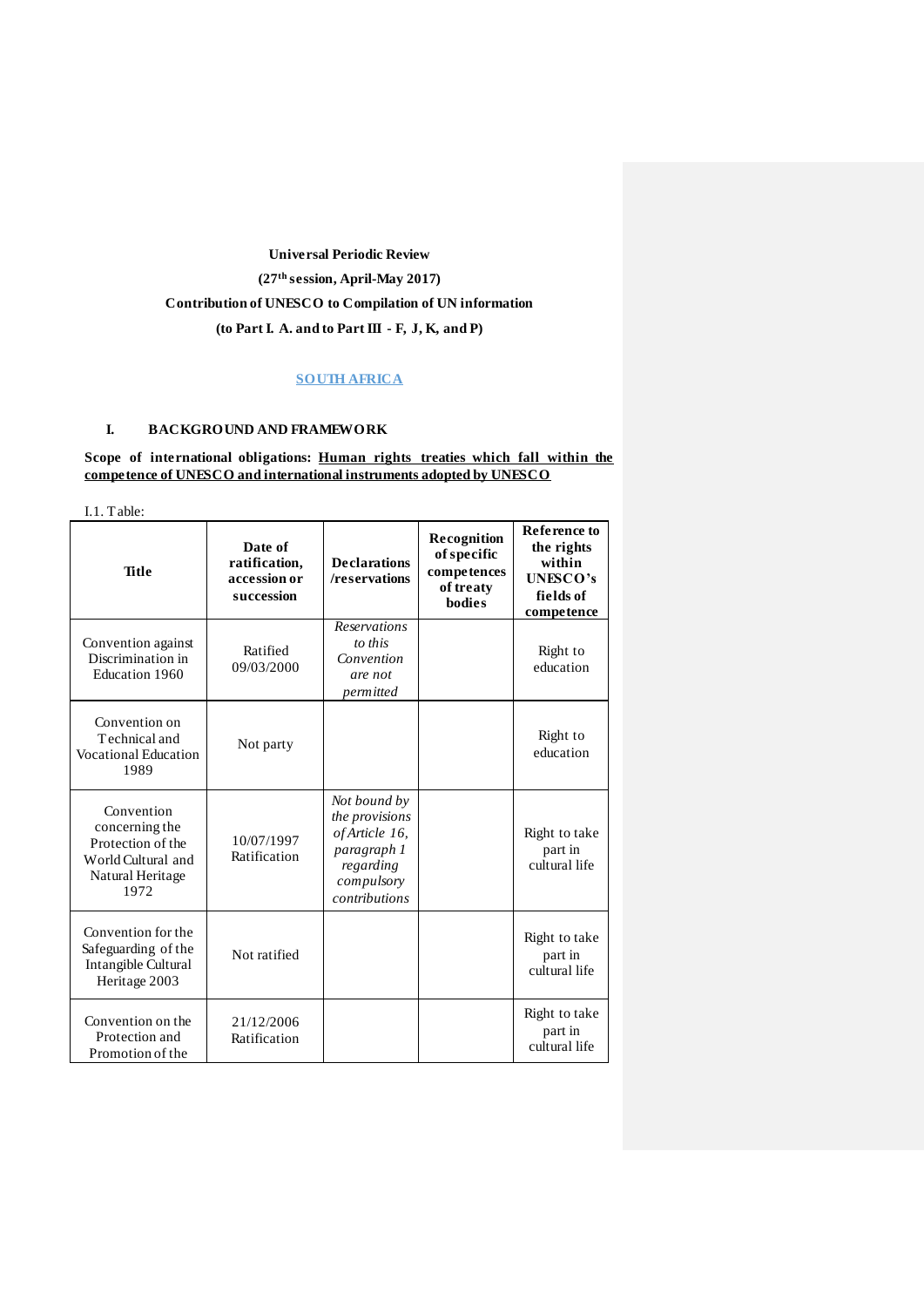# **Universal Periodic Review (27th session, April-May 2017) Contribution of UNESCO to Compilation of UN information (to Part I. A. and to Part III - F, J, K, and P)**

## **SOUTH AFRICA**

# **I. BACKGROUND AND FRAMEWORK**

# **Scope of international obligations: Human rights treaties which fall within the competence of UNESCO and international instruments adopted by UNESCO**

I.1. Table:

| <b>Title</b>                                                                                        | Date of<br>ratification,<br>accession or<br>succession | <b>Declarations</b><br>/reservations                                                                        | Recognition<br>of specific<br>competences<br>of treaty<br><b>bodies</b> | <b>Reference to</b><br>the rights<br>within<br><b>UNESCO's</b><br>fields of<br>competence |
|-----------------------------------------------------------------------------------------------------|--------------------------------------------------------|-------------------------------------------------------------------------------------------------------------|-------------------------------------------------------------------------|-------------------------------------------------------------------------------------------|
| Convention against<br>Discrimination in<br>Education 1960                                           | Ratified<br>09/03/2000                                 | <b>Reservations</b><br>to this<br>Convention<br>are not<br>permitted                                        |                                                                         | Right to<br>education                                                                     |
| Convention on<br>Technical and<br><b>Vocational Education</b><br>1989                               | Not party                                              |                                                                                                             |                                                                         | Right to<br>education                                                                     |
| Convention<br>concerning the<br>Protection of the<br>World Cultural and<br>Natural Heritage<br>1972 | 10/07/1997<br>Ratification                             | Not bound by<br>the provisions<br>of Article 16,<br>paragraph 1<br>regarding<br>compulsory<br>contributions |                                                                         | Right to take<br>part in<br>cultural life                                                 |
| Convention for the<br>Safeguarding of the<br>Intangible Cultural<br>Heritage 2003                   | Not ratified                                           |                                                                                                             |                                                                         | Right to take<br>part in<br>cultural life                                                 |
| Convention on the<br>Protection and<br>Promotion of the                                             | 21/12/2006<br>Ratification                             |                                                                                                             |                                                                         | Right to take<br>part in<br>cultural life                                                 |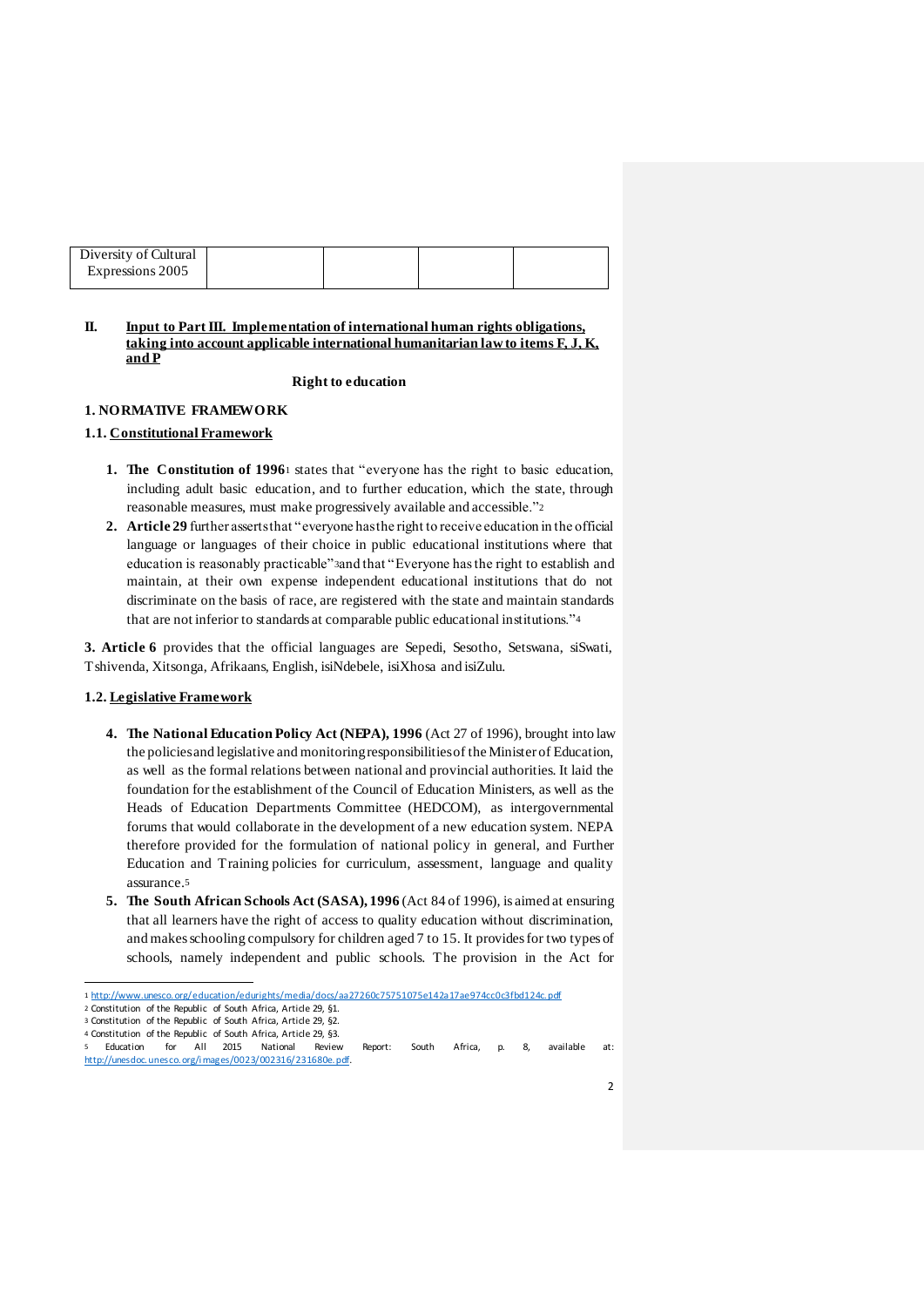| Diversity of Cultural |  |  |
|-----------------------|--|--|
| Expressions 2005      |  |  |
|                       |  |  |

## **II. Input to Part III. Implementation of international human rights obligations, taking into account applicable international humanitarian law to items F, J, K, and P**

#### **Right to education**

## **1. NORMATIVE FRAMEWORK**

## **1.1. Constitutional Framework**

- **1. The Constitution of 1996**<sup>1</sup> states that "everyone has the right to basic education, including adult basic education, and to further education, which the state, through reasonable measures, must make progressively available and accessible."<sup>2</sup>
- **2. Article 29** further asserts that "everyone has the right to receive education in the official language or languages of their choice in public educational institutions where that education is reasonably practicable"3and that "Everyone has the right to establish and maintain, at their own expense independent educational institutions that do not discriminate on the basis of race, are registered with the state and maintain standards that are not inferior to standards at comparable public educational institutions."<sup>4</sup>

**3. Article 6** provides that the official languages are Sepedi, Sesotho, Setswana, siSwati, Tshivenda, Xitsonga, Afrikaans, English, isiNdebele, isiXhosa and isiZulu.

## **1.2. Legislative Framework**

- **4. The National Education Policy Act (NEPA), 1996** (Act 27 of 1996), brought into law the policies and legislative and monitoring responsibilities of the Minister of Education, as well as the formal relations between national and provincial authorities. It laid the foundation for the establishment of the Council of Education Ministers, as well as the Heads of Education Departments Committee (HEDCOM), as intergovernmental forums that would collaborate in the development of a new education system. NEPA therefore provided for the formulation of national policy in general, and Further Education and Training policies for curriculum, assessment, language and quality assurance.<sup>5</sup>
- **5. The South African Schools Act (SASA), 1996** (Act 84 of 1996), is aimed at ensuring that all learners have the right of access to quality education without discrimination, and makes schooling compulsory for children aged 7 to 15. It provides for two types of schools, namely independent and public schools. The provision in the Act for

 $\overline{\phantom{a}}$ 

<sup>1</sup> http://www.unesco.org/education/edurights/media/docs/aa27260c75751075e142a17ae974cc0c3fbd124c.pdf

<sup>2</sup> Constitution of the Republic of South Africa, Article 29, §1.

<sup>3</sup> Constitution of the Republic of South Africa, Article 29, §2. 4 Constitution of the Republic of South Africa, Article 29, §3.

<sup>5</sup> Education for All 2015 National Review Report: South Africa, p. 8, available at: http://unesdoc.unesco.org/i mages/0023/002316/231680e.pdf.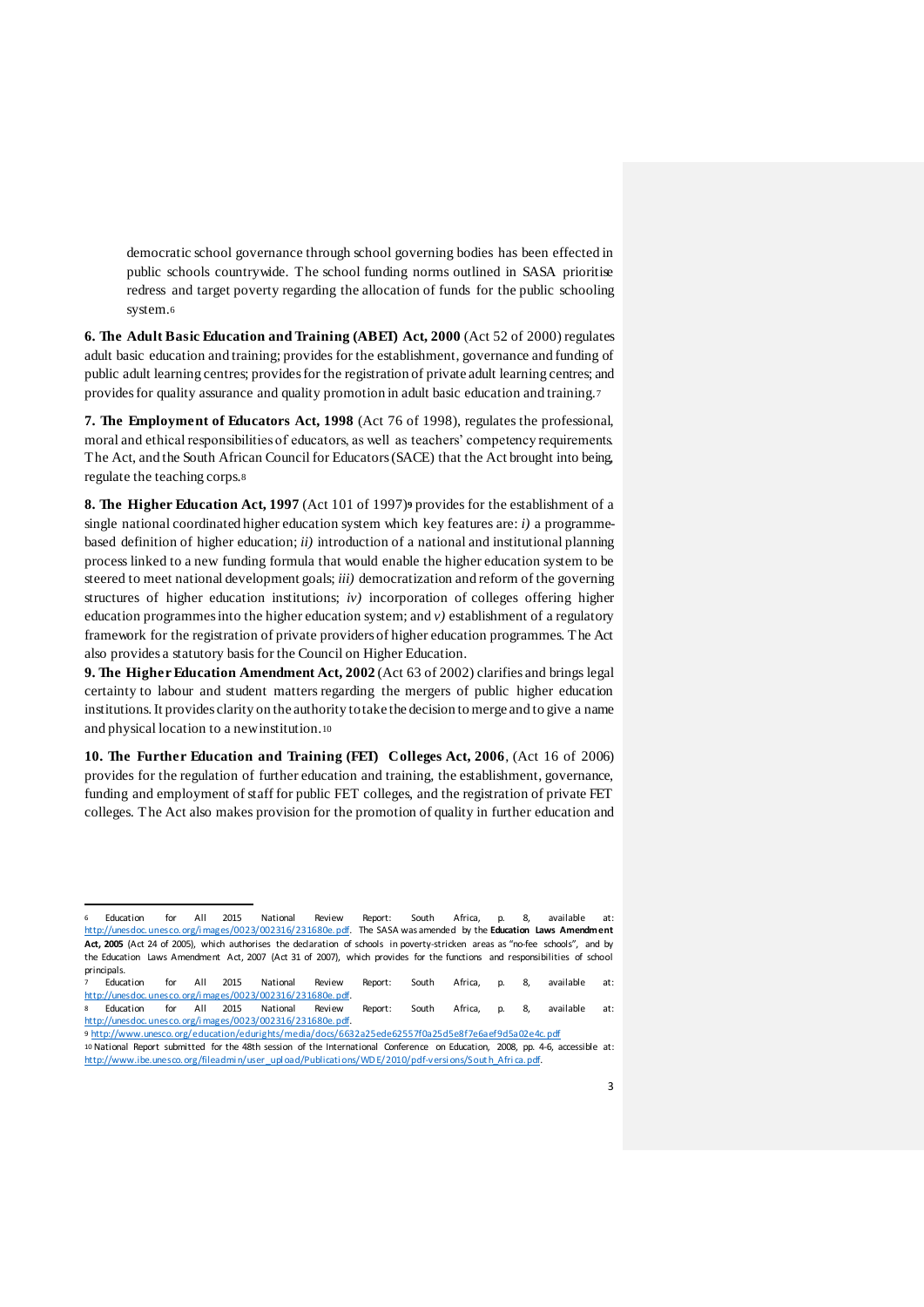democratic school governance through school governing bodies has been effected in public schools countrywide. The school funding norms outlined in SASA prioritise redress and target poverty regarding the allocation of funds for the public schooling system.<sup>6</sup>

**6. The Adult Basic Education and Training (ABET) Act, 2000** (Act 52 of 2000) regulates adult basic education and training; provides for the establishment, governance and funding of public adult learning centres; provides for the registration of private adult learning centres; and provides for quality assurance and quality promotion in adult basic education and training.<sup>7</sup>

**7. The Employment of Educators Act, 1998** (Act 76 of 1998), regulates the professional, moral and ethical responsibilities of educators, as well as teachers' competency requirements. The Act, and the South African Council for Educators (SACE) that the Act brought into being, regulate the teaching corps.<sup>8</sup>

**8. The Higher Education Act, 1997** (Act 101 of 1997)**<sup>9</sup>** provides for the establishment of a single national coordinated higher education system which key features are: *i)* a programmebased definition of higher education; *ii)* introduction of a national and institutional planning process linked to a new funding formula that would enable the higher education system to be steered to meet national development goals; *iii)* democratization and reform of the governing structures of higher education institutions; *iv)* incorporation of colleges offering higher education programmes into the higher education system; and *v)* establishment of a regulatory framework for the registration of private providers of higher education programmes. The Act also provides a statutory basis for the Council on Higher Education.

**9. The Higher Education Amendment Act, 2002** (Act 63 of 2002) clarifies and brings legal certainty to labour and student matters regarding the mergers of public higher education institutions. It provides clarity on the authority to take the decision to merge and to give a name and physical location to a new institution.<sup>10</sup>

**10. The Further Education and Training (FET) Colleges Act, 2006**, (Act 16 of 2006) provides for the regulation of further education and training, the establishment, governance, funding and employment of staff for public FET colleges, and the registration of private FET colleges. The Act also makes provision for the promotion of quality in further education and

1

<sup>6</sup> Education for All 2015 National Review Report: South Africa, p. 8, available at: http://unesdoc.unesco.org/i mages/0023/002316/231680e.pdf. The SASA was amended by the **Education Laws Amendment Act, 2005** (Act 24 of 2005), which authorises the declaration of schools in poverty-stricken areas as "no-fee schools", and by the Education Laws Amendment Act, 2007 (Act 31 of 2007), which provides for the functions and responsibilities of school principals.

<sup>7</sup> Education for All 2015 National Review Report: South Africa, p. 8, available at: http://unesdoc.unesco.org/i mages/0023/002316/231680e.pdf.

<sup>8</sup> Education for All 2015 National Review Report: South Africa, p. 8, available at: http://unesdoc.unesco.org/i mages/0023/002316/231680e.pdf. 9 http://www.unesco.org/education/edurights/media/docs/6632a25ede62557f0a25d5e8f7e6aef9d5a02e4c.pdf

<sup>10</sup> National Report submitted for the 48th session of the International Conference on Education, 2008, pp. 4-6, accessible at: http://www.ibe.unesco.org/fileadmin/user\_upl oad/Publicati ons/WD E/2010/pdf-versi ons/Sout h\_Afri ca.pdf.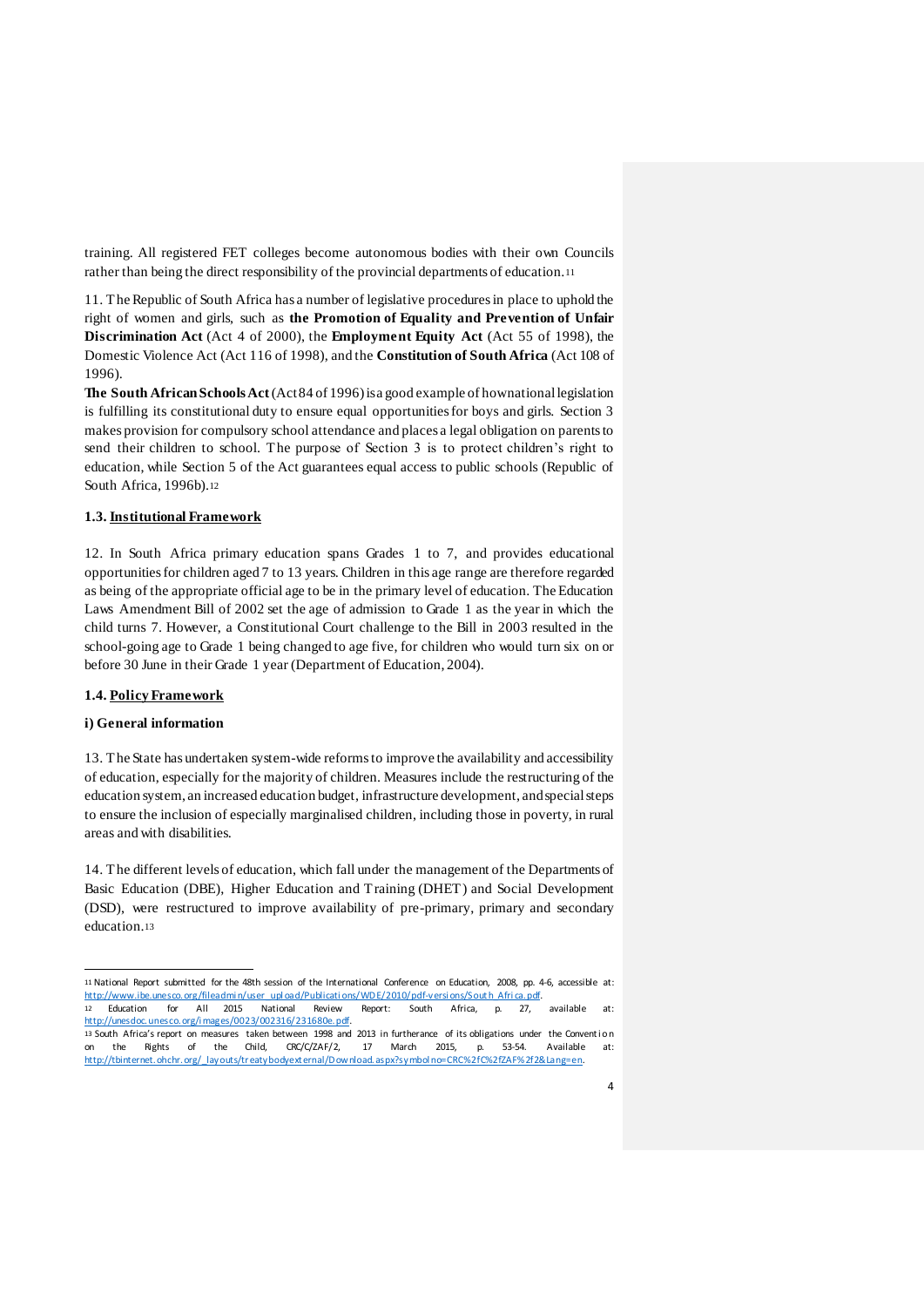training. All registered FET colleges become autonomous bodies with their own Councils rather than being the direct responsibility of the provincial departments of education.<sup>11</sup>

11. The Republic of South Africa has a number of legislative procedures in place to uphold the right of women and girls, such as **the Promotion of Equality and Prevention of Unfair Discrimination Act** (Act 4 of 2000), the **Employment Equity Act** (Act 55 of 1998), the Domestic Violence Act (Act 116 of 1998), and the **Constitution of South Africa** (Act 108 of 1996).

**The South African Schools Act**(Act 84 of 1996) is a good example of how national legislation is fulfilling its constitutional duty to ensure equal opportunities for boys and girls. Section 3 makes provision for compulsory school attendance and places a legal obligation on parents to send their children to school. The purpose of Section 3 is to protect children's right to education, while Section 5 of the Act guarantees equal access to public schools (Republic of South Africa, 1996b).<sup>12</sup>

## **1.3. Institutional Framework**

12. In South Africa primary education spans Grades 1 to 7, and provides educational opportunities for children aged 7 to 13 years. Children in this age range are therefore regarded as being of the appropriate official age to be in the primary level of education. The Education Laws Amendment Bill of 2002 set the age of admission to Grade 1 as the year in which the child turns 7. However, a Constitutional Court challenge to the Bill in 2003 resulted in the school-going age to Grade 1 being changed to age five, for children who would turn six on or before 30 June in their Grade 1 year (Department of Education, 2004).

#### **1.4. Policy Framework**

## **i) General information**

l

13. The State has undertaken system-wide reforms to improve the availability and accessibility of education, especially for the majority of children. Measures include the restructuring of the education system, an increased education budget, infrastructure development, and special steps to ensure the inclusion of especially marginalised children, including those in poverty, in rural areas and with disabilities.

14. The different levels of education, which fall under the management of the Departments of Basic Education (DBE), Higher Education and Training (DHET) and Social Development (DSD), were restructured to improve availability of pre-primary, primary and secondary education.<sup>13</sup>

<sup>11</sup> National Report submitted for the 48th session of the International Conference on Education, 2008, pp. 4-6, accessible at: http://www.ibe.unesco.org/fileadmi n/user\_upl oad/Publicati ons/WD E/2010/pdf-versi ons/Sout h\_Afri ca.pdf. 12 Education for All 2015 National Review Report: South Africa, p. 27, available at: http://unesdoc.unesco.org/i mages/0023/002316/231680e.pdf. 13 South Africa's report on measures taken between 1998 and 2013 in furtherance of its obligations under the Conventi on on the Rights of the Child, CRC/C/ZAF/2, 17 March 2015, p. 53-54. Available at: http://tbinternet.ohchr.org/\_layouts/treatybodyext ernal/D ownload.aspx?symbol no=CRC%2fC%2fZAF%2f2&Lang=en.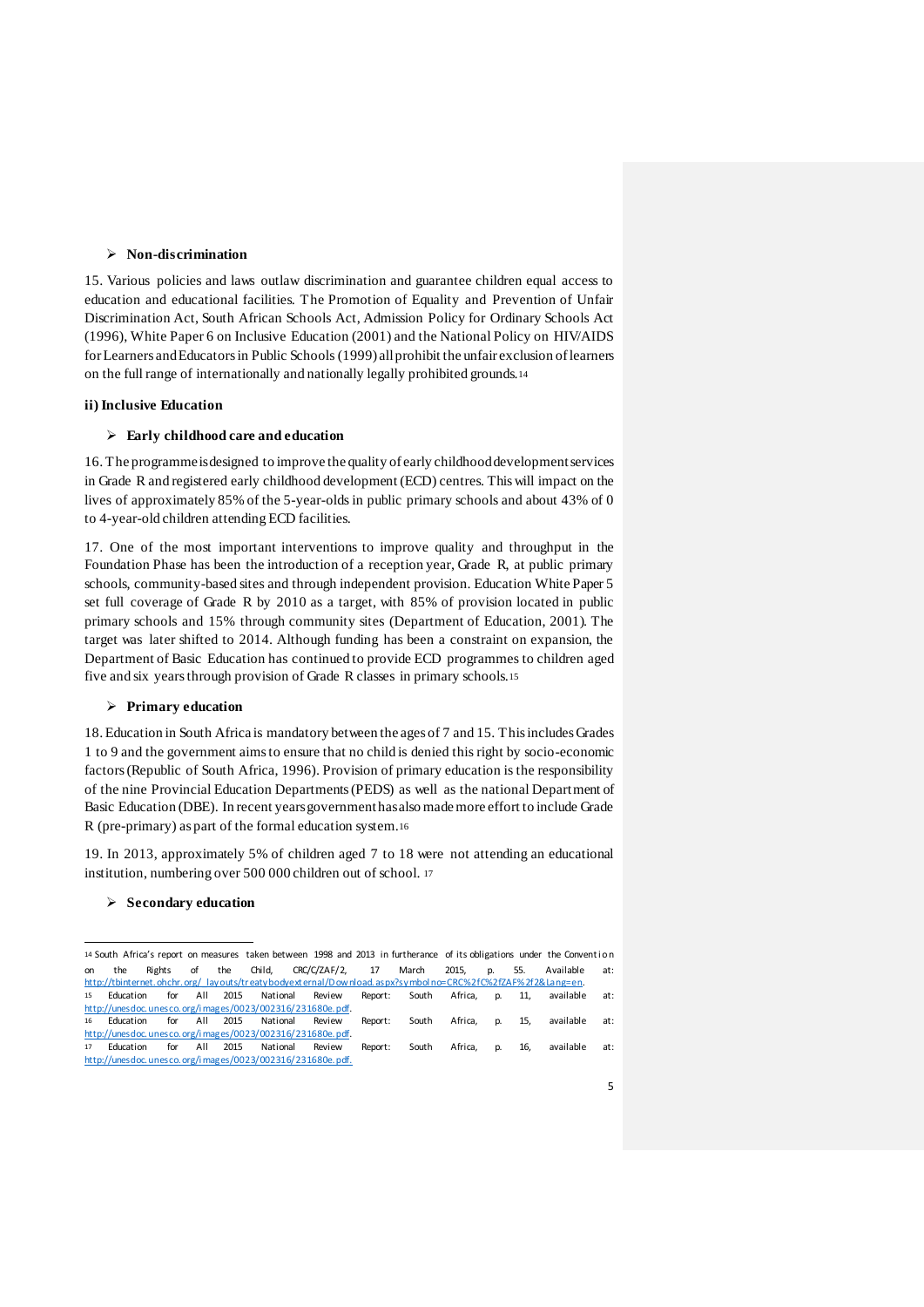## **Non-discrimination**

15. Various policies and laws outlaw discrimination and guarantee children equal access to education and educational facilities. The Promotion of Equality and Prevention of Unfair Discrimination Act, South African Schools Act, Admission Policy for Ordinary Schools Act (1996), White Paper 6 on Inclusive Education (2001) and the National Policy on HIV/AIDS for Learners and Educators in Public Schools (1999) all prohibit the unfair exclusion of learners on the full range of internationally and nationally legally prohibited grounds.<sup>14</sup>

## **ii) Inclusive Education**

## **Early childhood care and education**

16. The programme is designed to improve the quality of early childhood development services in Grade R and registered early childhood development (ECD) centres. This will impact on the lives of approximately 85% of the 5-year-olds in public primary schools and about 43% of 0 to 4-year-old children attending ECD facilities.

17. One of the most important interventions to improve quality and throughput in the Foundation Phase has been the introduction of a reception year, Grade R, at public primary schools, community-based sites and through independent provision. Education White Paper 5 set full coverage of Grade R by 2010 as a target, with 85% of provision located in public primary schools and 15% through community sites (Department of Education, 2001). The target was later shifted to 2014. Although funding has been a constraint on expansion, the Department of Basic Education has continued to provide ECD programmes to children aged five and six years through provision of Grade R classes in primary schools.<sup>15</sup>

#### **Primary education**

18. Education in South Africa is mandatory between the ages of 7 and 15. This includes Grades 1 to 9 and the government aims to ensure that no child is denied this right by socio-economic factors (Republic of South Africa, 1996). Provision of primary education is the responsibility of the nine Provincial Education Departments (PEDS) as well as the national Department of Basic Education (DBE). In recent years government has also made more effort to include Grade R (pre-primary) as part of the formal education system.<sup>16</sup>

19. In 2013, approximately 5% of children aged 7 to 18 were not attending an educational institution, numbering over 500 000 children out of school. <sup>17</sup>

#### **Secondary education**

<sup>14</sup> South Africa's report on measures taken between 1998 and 2013 in furtherance of its obligations under the Convention on the Rights of the Child, CRC/C/ZAF/2, 17 March 2015, p. 55. Available at: http://tbinternet.ohchr.org/\_layouts/treatybodyext ernal/D ownload.aspx?symbol no=CRC%2fC%2fZAF%2f2&Lang=en 15 Education for All 2015 National Review Report: South Africa, p. 11, available at: http://unesdoc.unesco.org/i mages/0023/002316/231680e.pdf. 16 Education for All 2015 National Review Report: South Africa, p. 15, available at: http://unesdoc.unesco.org/i mages/0023/002316/231680e.pdf. 17 Education for All 2015 National Review Report: South Africa, p. 16, available at: http://unesdoc.unesco.org/i mages/0023/002316/231680e.pdf.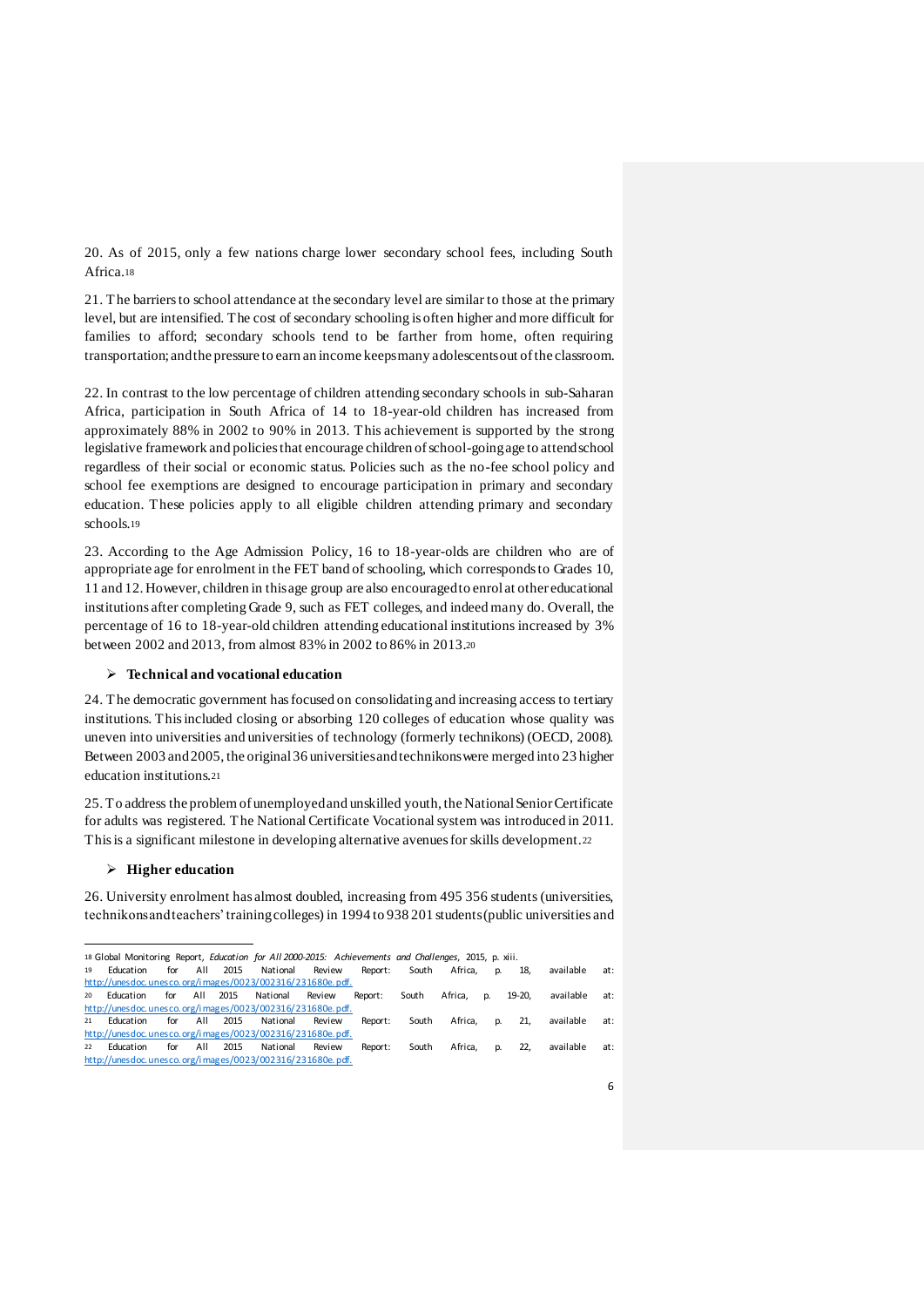20. As of 2015, only a few nations charge lower secondary school fees, including South Africa.<sup>18</sup>

21. The barriers to school attendance at the secondary level are similar to those at the primary level, but are intensified. The cost of secondary schooling is often higher and more difficult for families to afford; secondary schools tend to be farther from home, often requiring transportation; and the pressure to earn an income keeps many adolescents out of the classroom.

22. In contrast to the low percentage of children attending secondary schools in sub-Saharan Africa, participation in South Africa of 14 to 18-year-old children has increased from approximately 88% in 2002 to 90% in 2013. This achievement is supported by the strong legislative framework and policies that encourage children of school-going age to attend school regardless of their social or economic status. Policies such as the no-fee school policy and school fee exemptions are designed to encourage participation in primary and secondary education. These policies apply to all eligible children attending primary and secondary schools.<sup>19</sup>

23. According to the Age Admission Policy, 16 to 18-year-olds are children who are of appropriate age for enrolment in the FET band of schooling, which corresponds to Grades 10, 11 and 12. However, children in this age group are also encouraged to enrol at other educational institutions after completing Grade 9, such as FET colleges, and indeed many do. Overall, the percentage of 16 to 18-year-old children attending educational institutions increased by 3% between 2002 and 2013, from almost 83% in 2002 to 86% in 2013.<sup>20</sup>

## **Technical and vocational education**

24. The democratic government has focused on consolidating and increasing access to tertiary institutions. This included closing or absorbing 120 colleges of education whose quality was uneven into universities and universities of technology (formerly technikons) (OECD, 2008). Between 2003 and 2005, the original 36 universities and technikons were merged into 23 higher education institutions.<sup>21</sup>

25. To address the problem of unemployed and unskilled youth, the National Senior Certificate for adults was registered. The National Certificate Vocational system was introduced in 2011. This is a significant milestone in developing alternative avenues for skills development.<sup>22</sup>

#### **Higher education**

26. University enrolment has almost doubled, increasing from 495 356 students (universities, technikons and teachers' training colleges) in 1994 to 938 201 students (public universities and

l 18 Global Monitoring Report, *Education for All 2000-2015: Achievements and Challenges*, 2015, p. xiii. 19 Education for All 2015 National Review Report: South Africa, p. 18, available at: http://unesdoc.unesco.org/i mages/0023/002316/231680e.pdf. 20 Education for All 2015 National Review Report: South Africa, p. 19-20, available at: http://unesdoc.unesco.org/i mages/0023/002316/231680e.pdf. 21 Education for All 2015 National Review Report: South Africa, p. 21, available at: http://unesdoc.unesco.org/i mages/0023/002316/231680e.pdf. 22 Education for All 2015 National Review Report: South Africa, p. 22, available at: http://unesdoc.unesco.org/i mages/0023/002316/231680e.pdf.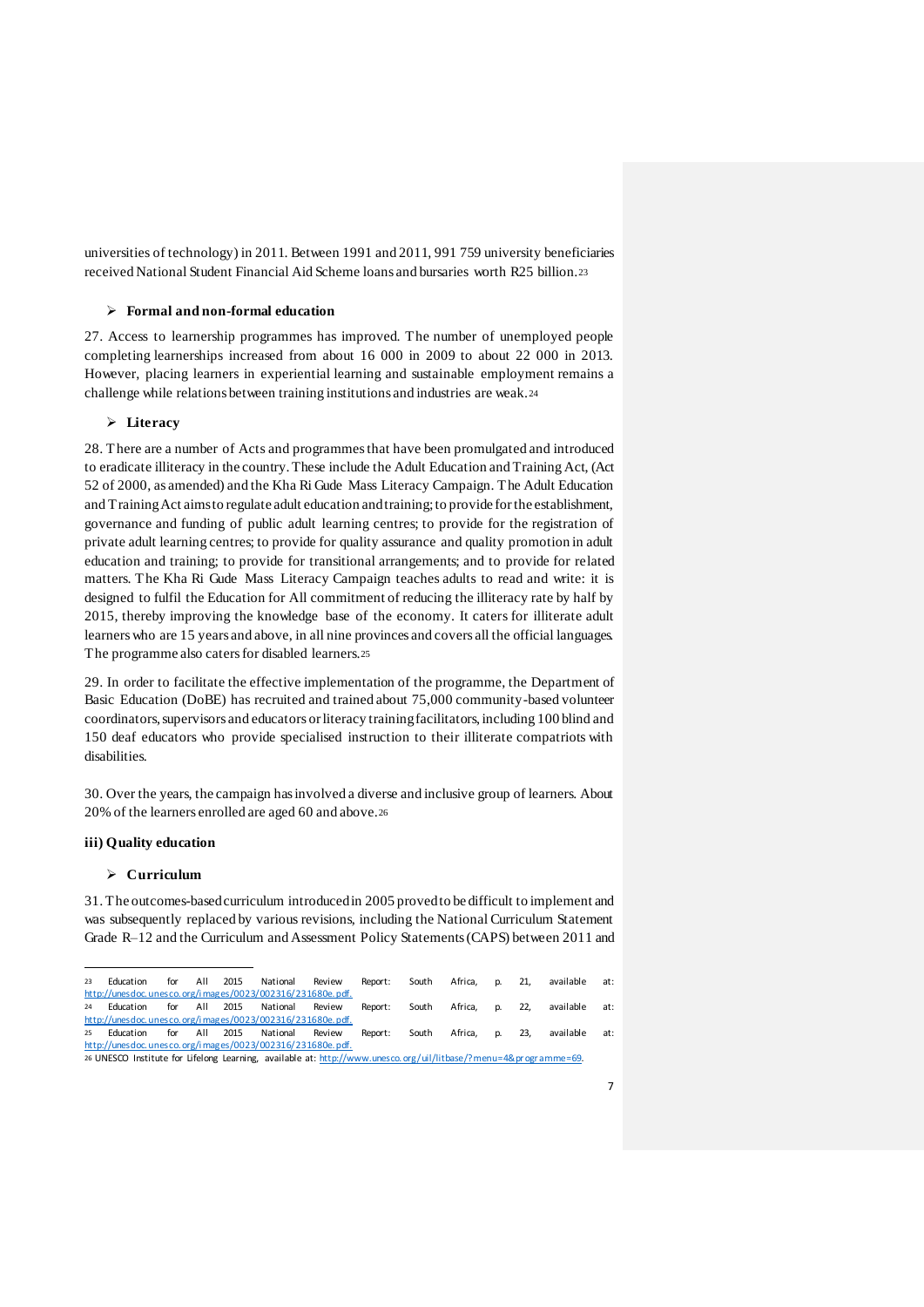universities of technology) in 2011. Between 1991 and 2011, 991 759 university beneficiaries received National Student Financial Aid Scheme loans and bursaries worth R25 billion.<sup>23</sup>

#### **Formal and non-formal education**

27. Access to learnership programmes has improved. The number of unemployed people completing learnerships increased from about 16 000 in 2009 to about 22 000 in 2013. However, placing learners in experiential learning and sustainable employment remains a challenge while relations between training institutions and industries are weak.<sup>24</sup>

## **Literacy**

28. There are a number of Acts and programmes that have been promulgated and introduced to eradicate illiteracy in the country. These include the Adult Education and Training Act, (Act 52 of 2000, as amended) and the Kha Ri Gude Mass Literacy Campaign. The Adult Education and Training Act aims to regulate adult education and training; to provide for the establishment, governance and funding of public adult learning centres; to provide for the registration of private adult learning centres; to provide for quality assurance and quality promotion in adult education and training; to provide for transitional arrangements; and to provide for related matters. The Kha Ri Gude Mass Literacy Campaign teaches adults to read and write: it is designed to fulfil the Education for All commitment of reducing the illiteracy rate by half by 2015, thereby improving the knowledge base of the economy. It caters for illiterate adult learners who are 15 years and above, in all nine provinces and covers all the official languages. The programme also caters for disabled learners.<sup>25</sup>

29. In order to facilitate the effective implementation of the programme, the Department of Basic Education (DoBE) has recruited and trained about 75,000 community-based volunteer coordinators, supervisors and educators or literacy training facilitators, including 100 blind and 150 deaf educators who provide specialised instruction to their illiterate compatriots with disabilities.

30. Over the years, the campaign has involved a diverse and inclusive group of learners. About 20% of the learners enrolled are aged 60 and above.<sup>26</sup>

## **iii) Quality education**

#### **Curriculum**

31. The outcomes-based curriculum introduced in 2005 proved to be difficult to implement and was subsequently replaced by various revisions, including the National Curriculum Statement Grade R–12 and the Curriculum and Assessment Policy Statements (CAPS) between 2011 and

l 23 Education for All 2015 National Review Report: South Africa, p. 21, available at: http://unesdoc.unesco.org/i mages/0023/002316/231680e.pdf. 24 Education for All 2015 National Review Report: South Africa, p. 22, available at: http://unesdoc.unesco.org/i mages/0023/002316/231680e.pdf. 25 Education for All 2015 National Review Report: South Africa, p. 23, available at: http://unesdoc.unesco.org/i mages/0023/002316/231680e.pdf. 26 UNESCO Institute for Lifelong Learning, available at: http://www.unesco.org/uil/litbase/?menu=4&programme=69.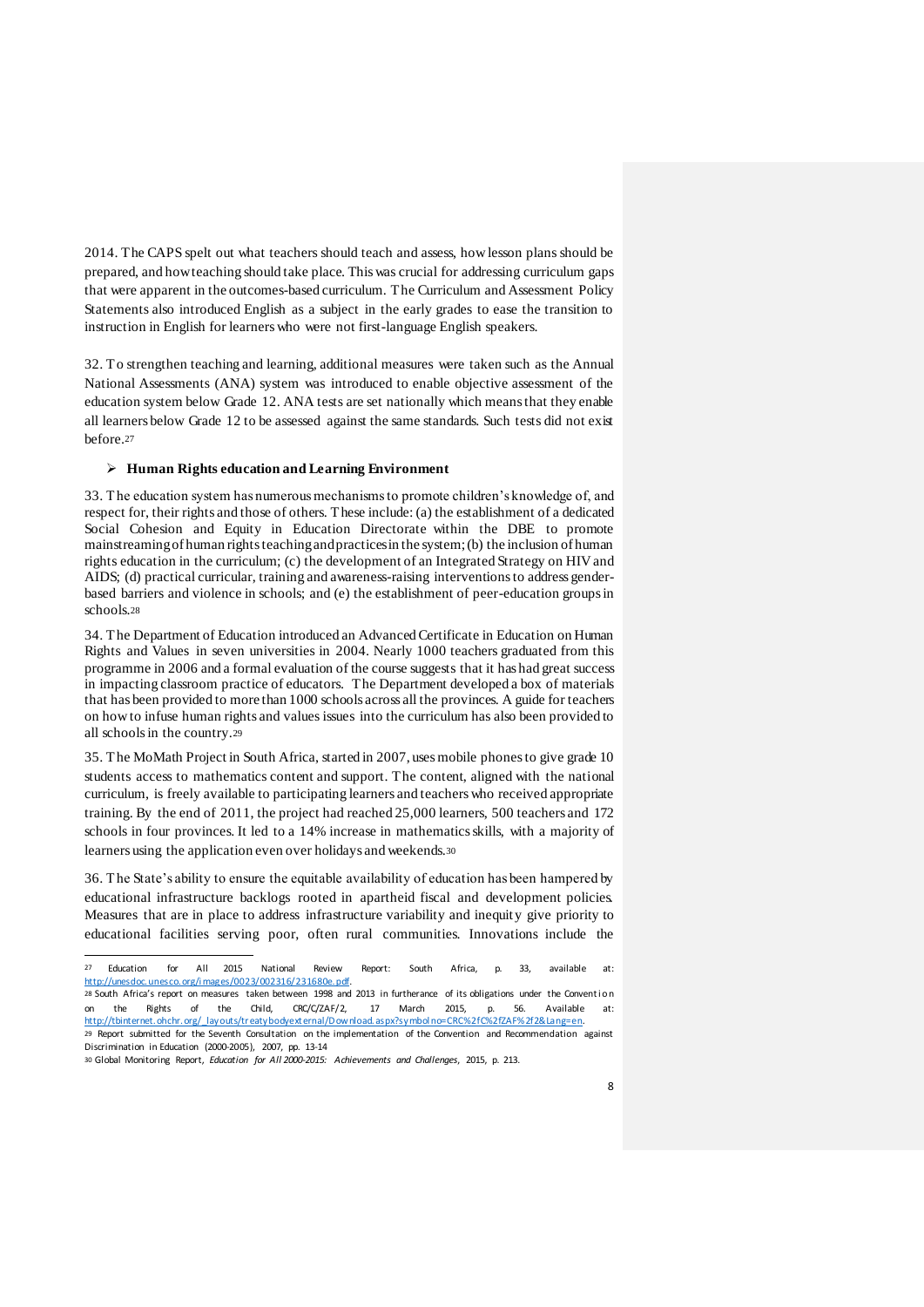2014. The CAPS spelt out what teachers should teach and assess, how lesson plans should be prepared, and how teaching should take place. This was crucial for addressing curriculum gaps that were apparent in the outcomes-based curriculum. The Curriculum and Assessment Policy Statements also introduced English as a subject in the early grades to ease the transition to instruction in English for learners who were not first-language English speakers.

32. To strengthen teaching and learning, additional measures were taken such as the Annual National Assessments (ANA) system was introduced to enable objective assessment of the education system below Grade 12. ANA tests are set nationally which means that they enable all learners below Grade 12 to be assessed against the same standards. Such tests did not exist before.<sup>27</sup>

#### **Human Rights education and Learning Environment**

33. The education system has numerous mechanisms to promote children's knowledge of, and respect for, their rights and those of others. These include: (a) the establishment of a dedicated Social Cohesion and Equity in Education Directorate within the DBE to promote mainstreaming of human rights teaching and practices in the system; (b) the inclusion of human rights education in the curriculum; (c) the development of an Integrated Strategy on HIV and AIDS; (d) practical curricular, training and awareness-raising interventions to address genderbased barriers and violence in schools; and (e) the establishment of peer-education groups in schools.28

34. The Department of Education introduced an Advanced Certificate in Education on Human Rights and Values in seven universities in 2004. Nearly 1000 teachers graduated from this programme in 2006 and a formal evaluation of the course suggests that it has had great success in impacting classroom practice of educators. The Department developed a box of materials that has been provided to more than 1000 schools across all the provinces. A guide for teachers on how to infuse human rights and values issues into the curriculum has also been provided to all schools in the country.<sup>29</sup>

35. The MoMath Project in South Africa, started in 2007, uses mobile phones to give grade 10 students access to mathematics content and support. The content, aligned with the national curriculum, is freely available to participating learners and teachers who received appropriate training. By the end of 2011, the project had reached 25,000 learners, 500 teachers and 172 schools in four provinces. It led to a 14% increase in mathematics skills, with a majority of learners using the application even over holidays and weekends.<sup>30</sup>

36. The State's ability to ensure the equitable availability of education has been hampered by educational infrastructure backlogs rooted in apartheid fiscal and development policies. Measures that are in place to address infrastructure variability and inequity give priority to educational facilities serving poor, often rural communities. Innovations include the

<sup>27</sup> Education for All 2015 National Review Report: South Africa, p. 33, available at: http://unesdoc.unesco.org/i mages/0023/002316/231680e.pdf.

<sup>28</sup> South Africa's report on measures taken between 1998 and 2013 in furtherance of its obligations under the Convention the Rights of the Child, CRC/C/ZAF/2, 17 March 2015, p. 56. Available at: http://tbinternet.ohchr.org/\_layouts/treatybodyext ernal/D ownload.aspx?symbol no=CRC%2fC%2fZAF%2f2&Lang=en. 29 Report submitted for the Seventh Consultation on the implementation of the Convention and Recommendation against Discrimination in Education (2000-2005), 2007, pp. 13-14

<sup>30</sup> Global Monitoring Report, *Education for All 2000-2015: Achievements and Challenges*, 2015, p. 213.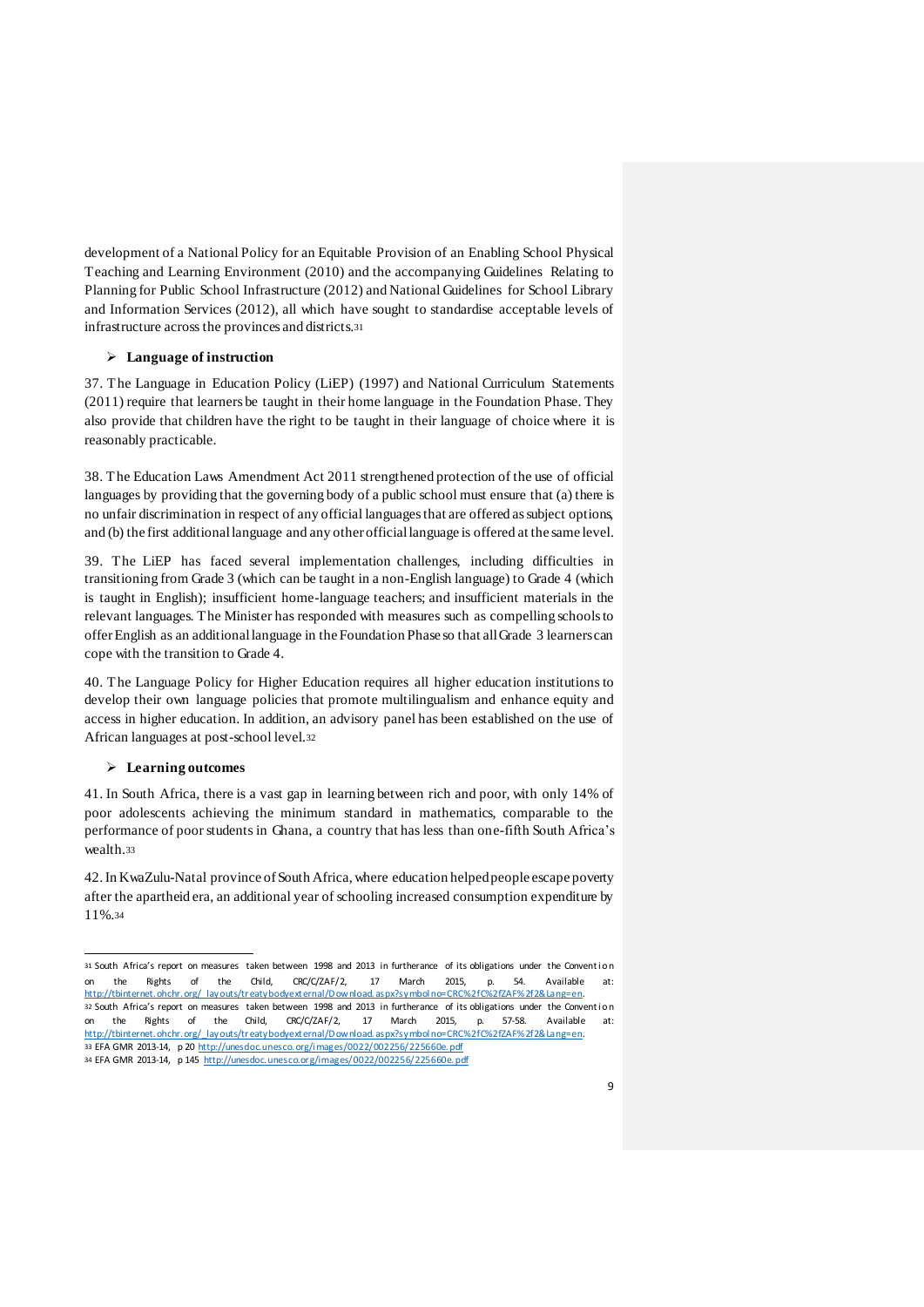development of a National Policy for an Equitable Provision of an Enabling School Physical Teaching and Learning Environment (2010) and the accompanying Guidelines Relating to Planning for Public School Infrastructure (2012) and National Guidelines for School Library and Information Services (2012), all which have sought to standardise acceptable levels of infrastructure across the provinces and districts.<sup>31</sup>

## **Language of instruction**

37. The Language in Education Policy (LiEP) (1997) and National Curriculum Statements (2011) require that learners be taught in their home language in the Foundation Phase. They also provide that children have the right to be taught in their language of choice where it is reasonably practicable.

38. The Education Laws Amendment Act 2011 strengthened protection of the use of official languages by providing that the governing body of a public school must ensure that (a) there is no unfair discrimination in respect of any official languages that are offered as subject options, and (b) the first additional language and any other official language is offered at the same level.

39. The LiEP has faced several implementation challenges, including difficulties in transitioning from Grade 3 (which can be taught in a non-English language) to Grade 4 (which is taught in English); insufficient home-language teachers; and insufficient materials in the relevant languages. The Minister has responded with measures such as compelling schools to offer English as an additional language in the Foundation Phase so that all Grade 3 learners can cope with the transition to Grade 4.

40. The Language Policy for Higher Education requires all higher education institutions to develop their own language policies that promote multilingualism and enhance equity and access in higher education. In addition, an advisory panel has been established on the use of African languages at post-school level.<sup>32</sup>

#### **Learning outcomes**

l

41. In South Africa, there is a vast gap in learning between rich and poor, with only 14% of poor adolescents achieving the minimum standard in mathematics, comparable to the performance of poor students in Ghana, a country that has less than one-fifth South Africa's wealth.<sup>33</sup>

42. In KwaZulu-Natal province of South Africa, where education helped people escape poverty after the apartheid era, an additional year of schooling increased consumption expenditure by 11%.<sup>34</sup>

<sup>31</sup> South Africa's report on measures taken between 1998 and 2013 in furtherance of its obligations under the Conventi on on the Rights of the Child, CRC/C/ZAF/2, 17 March 2015, p. 54. Available at: http://tbinternet.ohchr.org/\_layouts/treatybodyext ernal/D ownload.aspx?symbol no=CRC%2fC%2fZAF%2f2&Lang=en. 32 South Africa's report on measures taken between 1998 and 2013 in furtherance of its obligations under the Convention on the Rights of the Child, CRC/C/ZAF/2, 17 March 2015, p. 57-58. Available at: http://tbinternet.ohchr.org/\_layouts/treatybodyext ernal/D ownload.aspx?symbol no=CRC%2fC%2fZAF%2f2&Lang=en. 33 EFA GMR 2013-14, p 20 http://unesdoc.unesco.org/i mages/0022/002256/225660e.pdf 34 EFA GMR 2013-14, p 145 http://unesdoc.unesco.org/images/0022/002256/225660e.pdf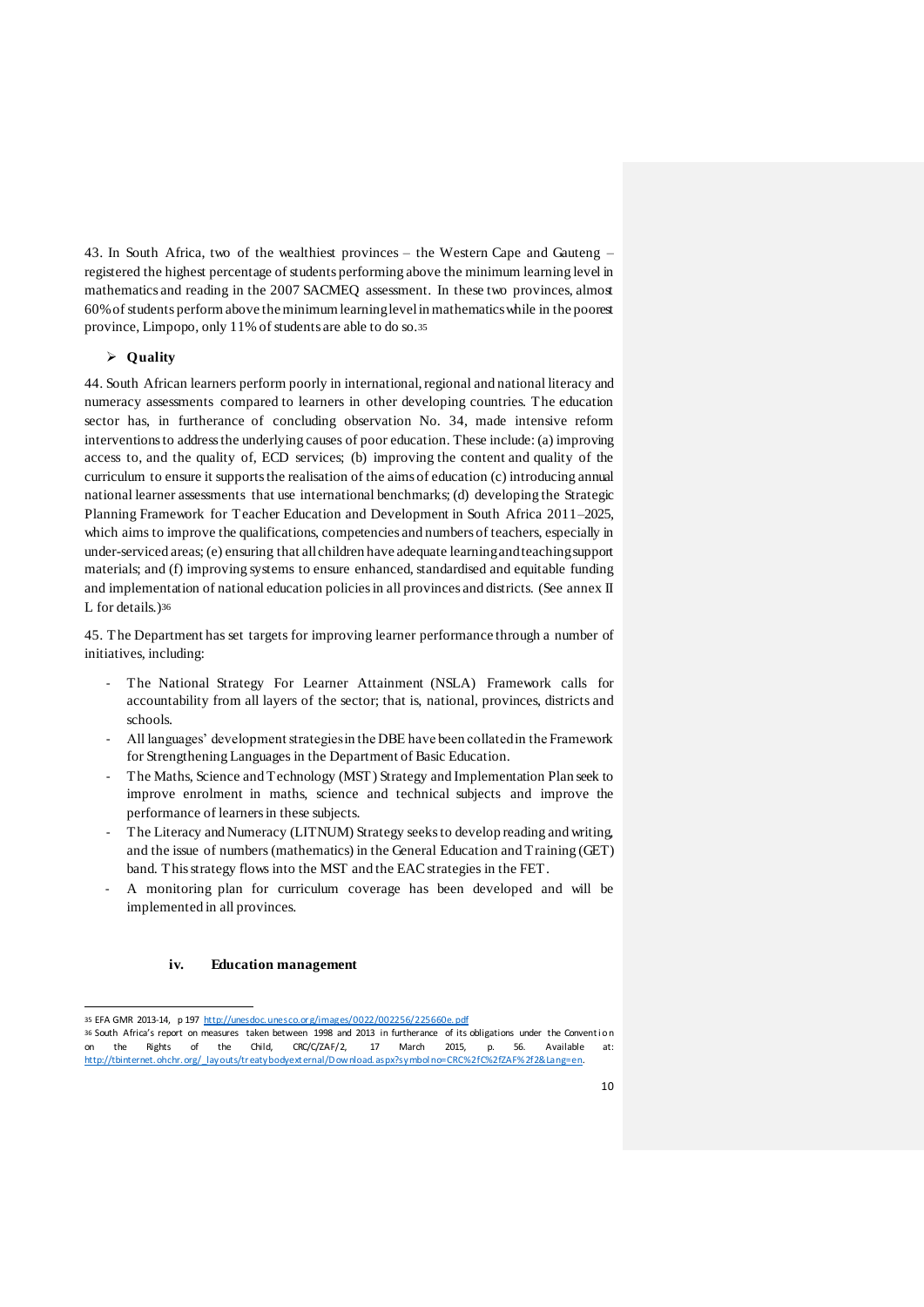43. In South Africa, two of the wealthiest provinces – the Western Cape and Gauteng – registered the highest percentage of students performing above the minimum learning level in mathematics and reading in the 2007 SACMEQ assessment. In these two provinces, almost 60% of students perform above the minimum learning level in mathematics while in the poorest province, Limpopo, only 11% of students are able to do so.<sup>35</sup>

## **Quality**

44. South African learners perform poorly in international, regional and national literacy and numeracy assessments compared to learners in other developing countries. The education sector has, in furtherance of concluding observation No. 34, made intensive reform interventions to address the underlying causes of poor education. These include: (a) improving access to, and the quality of, ECD services; (b) improving the content and quality of the curriculum to ensure it supports the realisation of the aims of education (c) introducing annual national learner assessments that use international benchmarks; (d) developing the Strategic Planning Framework for Teacher Education and Development in South Africa 2011–2025, which aims to improve the qualifications, competencies and numbers of teachers, especially in under-serviced areas; (e) ensuring that all children have adequate learning and teaching support materials; and (f) improving systems to ensure enhanced, standardised and equitable funding and implementation of national education policies in all provinces and districts. (See annex II L for details.)<sup>36</sup>

45. The Department has set targets for improving learner performance through a number of initiatives, including:

- The National Strategy For Learner Attainment (NSLA) Framework calls for accountability from all layers of the sector; that is, national, provinces, districts and schools.
- All languages' development strategies in the DBE have been collated in the Framework for Strengthening Languages in the Department of Basic Education.
- The Maths, Science and Technology (MST) Strategy and Implementation Plan seek to improve enrolment in maths, science and technical subjects and improve the performance of learners in these subjects.
- The Literacy and Numeracy (LITNUM) Strategy seeks to develop reading and writing, and the issue of numbers (mathematics) in the General Education and Training (GET) band. This strategy flows into the MST and the EAC strategies in the FET.
- A monitoring plan for curriculum coverage has been developed and will be implemented in all provinces.

#### **iv. Education management**

l 35 EFA GMR 2013-14, p 197 http://unesdoc.unesco.org/images/0022/002256/225660e.pdf

<sup>36</sup> South Africa's report on measures taken between 1998 and 2013 in furtherance of its obligations under the Conventi on on the Rights of the Child, CRC/C/ZAF/2, 17 March 2015, p. 56. Available at: http://tbinternet.ohchr.org/\_layouts/treatybodyext ernal/D ownload.aspx?symbol no=CRC%2fC%2fZAF%2f2&Lang=en.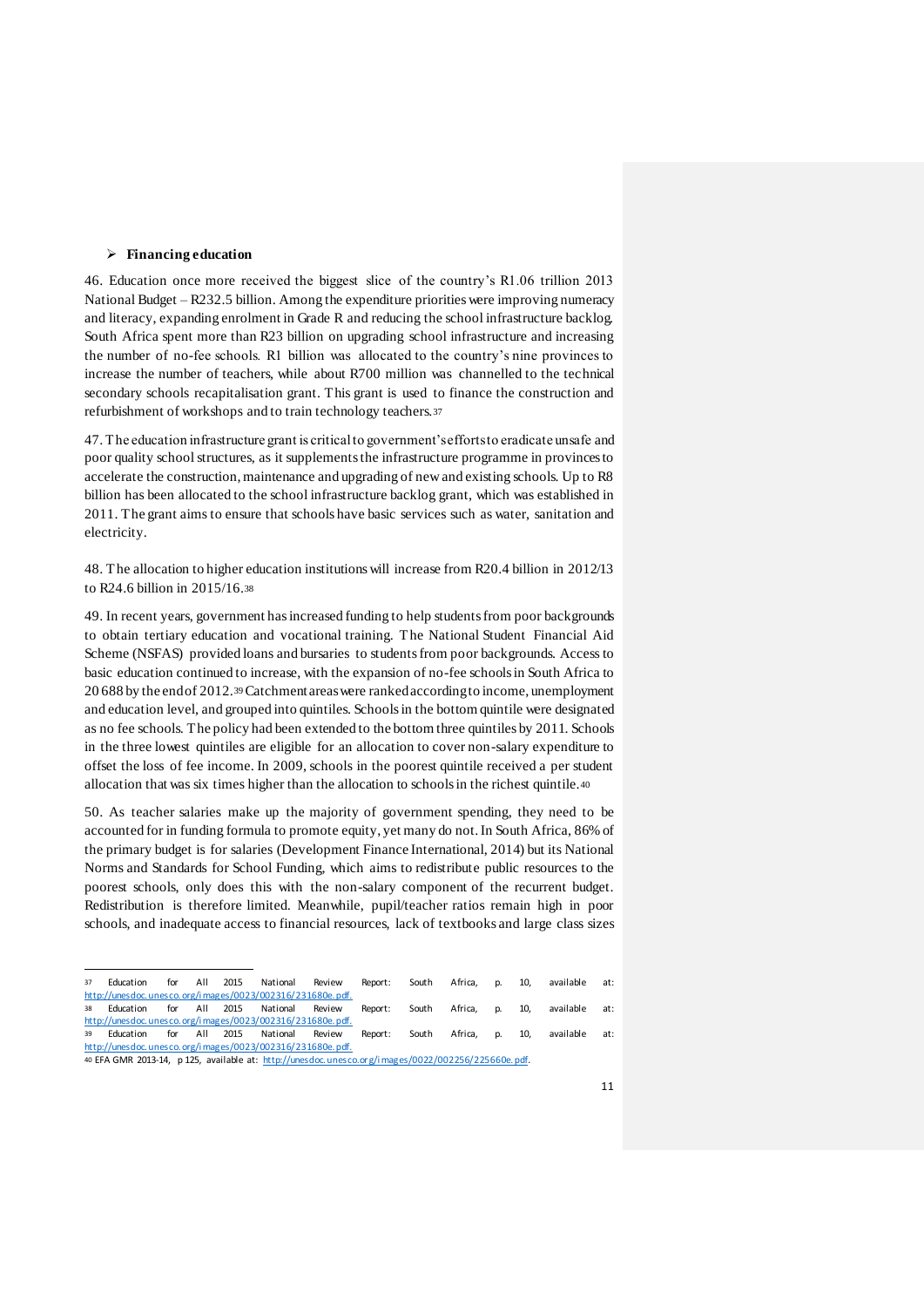#### **Financing education**

l

46. Education once more received the biggest slice of the country's R1.06 trillion 2013 National Budget – R232.5 billion. Among the expenditure priorities were improving numeracy and literacy, expanding enrolment in Grade R and reducing the school infrastructure backlog. South Africa spent more than R23 billion on upgrading school infrastructure and increasing the number of no-fee schools. R1 billion was allocated to the country's nine provinces to increase the number of teachers, while about R700 million was channelled to the technical secondary schools recapitalisation grant. This grant is used to finance the construction and refurbishment of workshops and to train technology teachers.<sup>37</sup>

47. The education infrastructure grant is critical to government's efforts to eradicate unsafe and poor quality school structures, as it supplements the infrastructure programme in provinces to accelerate the construction, maintenance and upgrading of new and existing schools. Up to R8 billion has been allocated to the school infrastructure backlog grant, which was established in 2011. The grant aims to ensure that schools have basic services such as water, sanitation and electricity.

48. The allocation to higher education institutions will increase from R20.4 billion in 2012/13 to R24.6 billion in 2015/16.<sup>38</sup>

49. In recent years, government has increased funding to help students from poor backgrounds to obtain tertiary education and vocational training. The National Student Financial Aid Scheme (NSFAS) provided loans and bursaries to students from poor backgrounds. Access to basic education continued to increase, with the expansion of no-fee schools in South Africa to 20 688 by the end of 2012.39Catchment areas were ranked according to income, unemployment and education level, and grouped into quintiles. Schools in the bottom quintile were designated as no fee schools. The policy had been extended to the bottom three quintiles by 2011. Schools in the three lowest quintiles are eligible for an allocation to cover non-salary expenditure to offset the loss of fee income. In 2009, schools in the poorest quintile received a per student allocation that was six times higher than the allocation to schools in the richest quintile.<sup>40</sup>

50. As teacher salaries make up the majority of government spending, they need to be accounted for in funding formula to promote equity, yet many do not. In South Africa, 86% of the primary budget is for salaries (Development Finance International, 2014) but its National Norms and Standards for School Funding, which aims to redistribute public resources to the poorest schools, only does this with the non-salary component of the recurrent budget. Redistribution is therefore limited. Meanwhile, pupil/teacher ratios remain high in poor schools, and inadequate access to financial resources, lack of textbooks and large class sizes

<sup>37</sup> Education for All 2015 National Review Report: South Africa, p. 10, available at: http://unesdoc.unesco.org/i mages/0023/002316/231680e.pdf. 38 Education for All 2015 National Review Report: South Africa, p. 10, available at: http://unesdoc.unesco.org/i mages/0023/002316/231680e.pdf. 39 Education for All 2015 National Review Report: South Africa, p. 10, available at: http://unesdoc.unesco.org/i mages/0023/002316/231680e.pdf. 40 EFA GMR 2013-14, p 125, available at: http://unesdoc.unesco.org/images/0022/002256/225660e.pdf.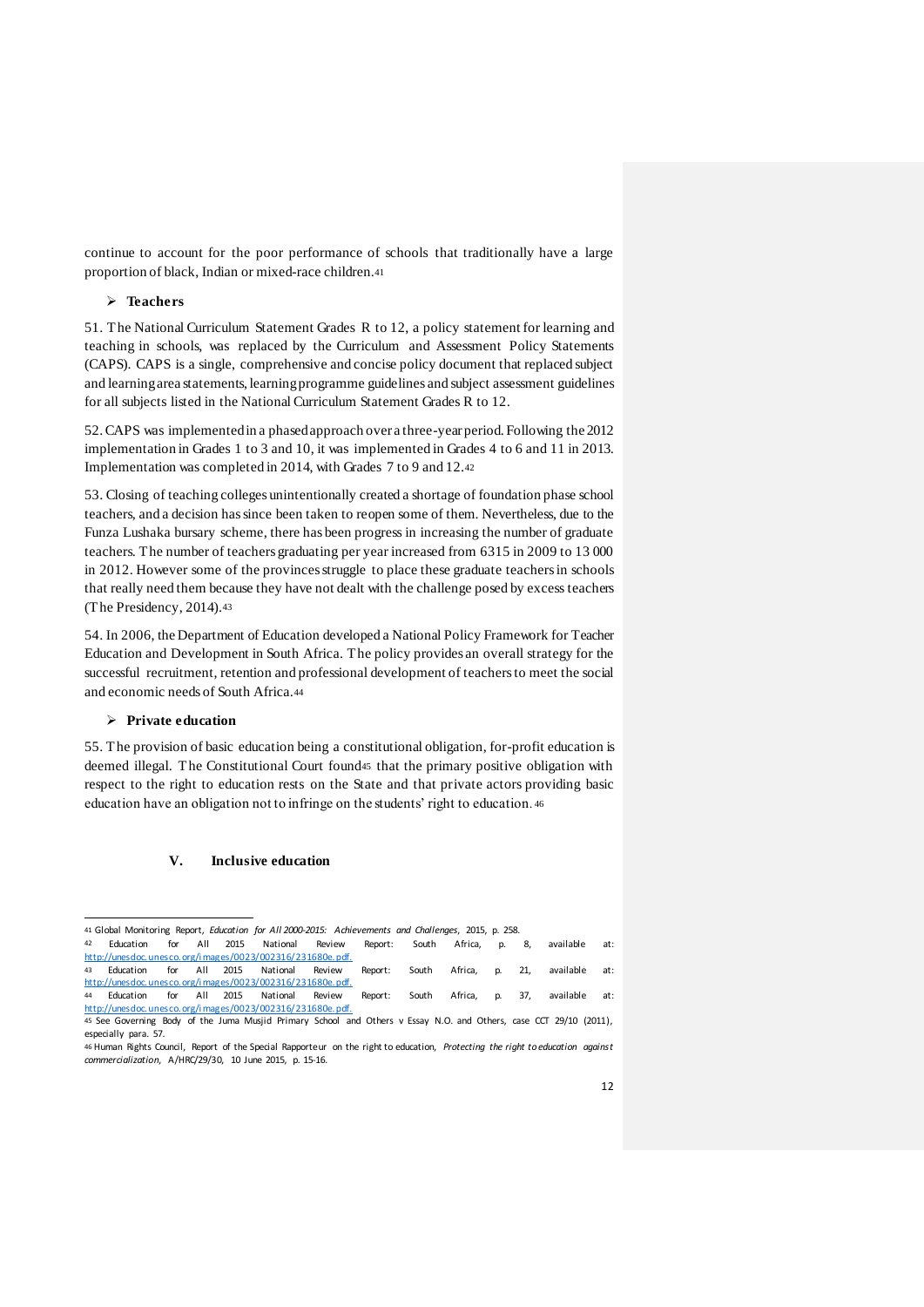continue to account for the poor performance of schools that traditionally have a large proportion of black, Indian or mixed-race children.<sup>41</sup>

## **Teachers**

51. The National Curriculum Statement Grades R to 12, a policy statement for learning and teaching in schools, was replaced by the Curriculum and Assessment Policy Statements (CAPS). CAPS is a single, comprehensive and concise policy document that replaced subject and learning area statements, learning programme guidelines and subject assessment guidelines for all subjects listed in the National Curriculum Statement Grades R to 12.

52. CAPS was implemented in a phased approach over a three-year period. Following the 2012 implementation in Grades 1 to 3 and 10, it was implemented in Grades 4 to 6 and 11 in 2013. Implementation was completed in 2014, with Grades 7 to 9 and 12.<sup>42</sup>

53. Closing of teaching colleges unintentionally created a shortage of foundation phase school teachers, and a decision has since been taken to reopen some of them. Nevertheless, due to the Funza Lushaka bursary scheme, there has been progress in increasing the number of graduate teachers. The number of teachers graduating per year increased from 6315 in 2009 to 13 000 in 2012. However some of the provinces struggle to place these graduate teachers in schools that really need them because they have not dealt with the challenge posed by excess teachers (The Presidency, 2014).<sup>43</sup>

54. In 2006, the Department of Education developed a National Policy Framework for Teacher Education and Development in South Africa. The policy provides an overall strategy for the successful recruitment, retention and professional development of teachers to meet the social and economic needs of South Africa.<sup>44</sup>

# **Private education**

l

55. The provision of basic education being a constitutional obligation, for-profit education is deemed illegal. The Constitutional Court found<sup>45</sup> that the primary positive obligation with respect to the right to education rests on the State and that private actors providing basic education have an obligation not to infringe on the students' right to education. <sup>46</sup>

# **V. Inclusive education**

42 Education for All 2015 National Review Report: South Africa, p. 8, available at: http://unesdoc.unesco.org/i mages/0023/002316/231680e.pdf. 43 Education for All 2015 National Review Report: South Africa, p. 21, available at: http://unesdoc.unesco.org/i mages/0023/002316/231680e.pdf.<br>44 Education for All 2015 National Review

44 Education for All 2015 National Review Report: South Africa, p. 37, available at: http://unesdoc.unesco.org/i mages/0023/002316/231680e.pdf.

<sup>41</sup> Global Monitoring Report, *Education for All 2000-2015: Achievements and Challenges*, 2015, p. 258.

<sup>45</sup> See Governing Body of the Juma Musjid Primary School and Others v Essay N.O. and Others, case CCT 29/10 (2011), especially para. 57.

<sup>46</sup> Human Rights Council, Report of the Special Rapporteur on the right to education, *Protecting the right to education against commercialization*, A/HRC/29/30, 10 June 2015, p. 15-16.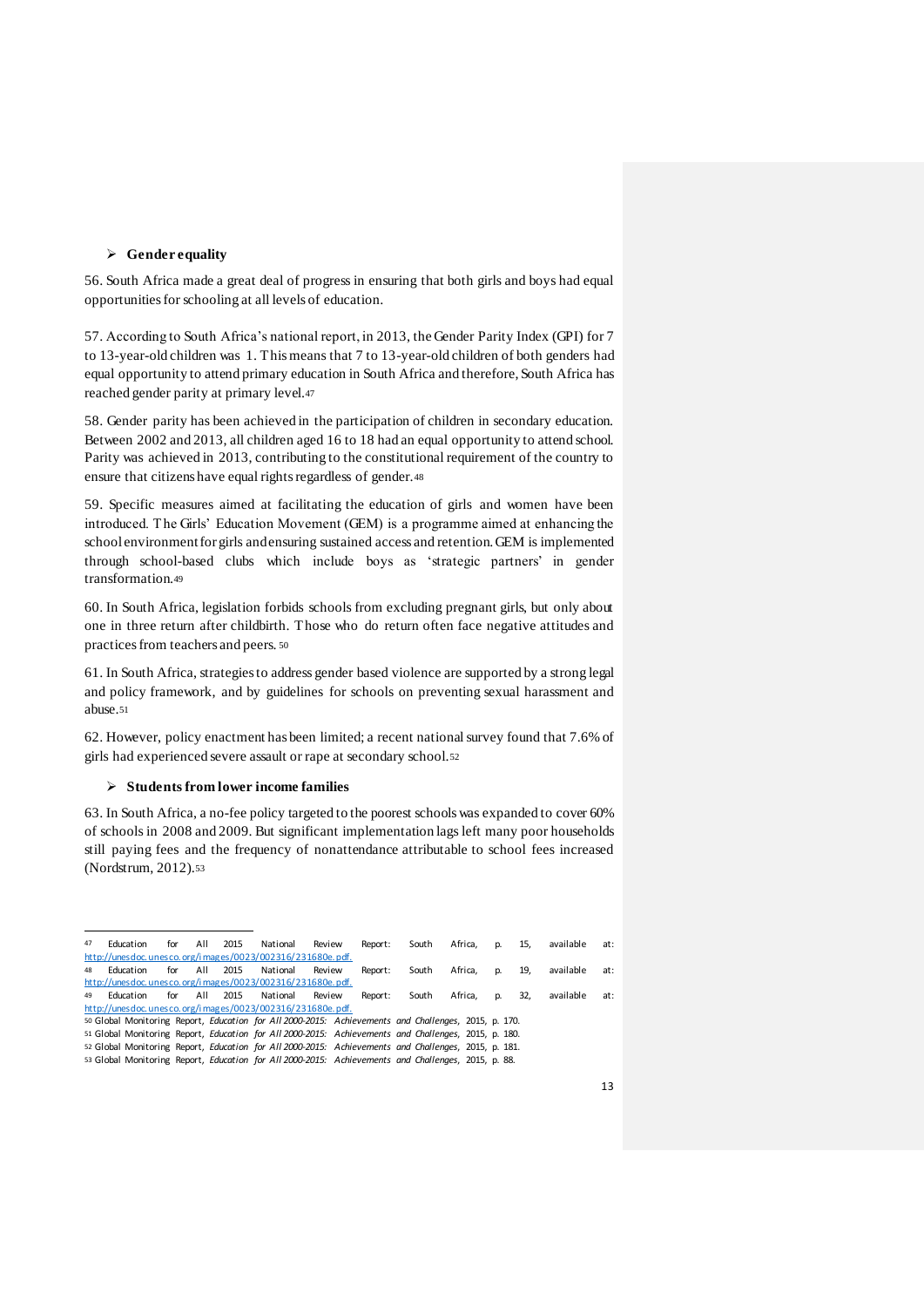## **Gender equality**

56. South Africa made a great deal of progress in ensuring that both girls and boys had equal opportunities for schooling at all levels of education.

57. According to South Africa's national report, in 2013, the Gender Parity Index (GPI) for 7 to 13-year-old children was 1. This means that 7 to 13-year-old children of both genders had equal opportunity to attend primary education in South Africa and therefore, South Africa has reached gender parity at primary level.<sup>47</sup>

58. Gender parity has been achieved in the participation of children in secondary education. Between 2002 and 2013, all children aged 16 to 18 had an equal opportunity to attend school. Parity was achieved in 2013, contributing to the constitutional requirement of the country to ensure that citizens have equal rights regardless of gender.<sup>48</sup>

59. Specific measures aimed at facilitating the education of girls and women have been introduced. The Girls' Education Movement (GEM) is a programme aimed at enhancing the school environment for girls and ensuring sustained access and retention. GEM is implemented through school-based clubs which include boys as 'strategic partners' in gender transformation.<sup>49</sup>

60. In South Africa, legislation forbids schools from excluding pregnant girls, but only about one in three return after childbirth. Those who do return often face negative attitudes and practices from teachers and peers. <sup>50</sup>

61. In South Africa, strategies to address gender based violence are supported by a strong legal and policy framework, and by guidelines for schools on preventing sexual harassment and abuse.<sup>51</sup>

62. However, policy enactment has been limited; a recent national survey found that 7.6% of girls had experienced severe assault or rape at secondary school.<sup>52</sup>

## **Students from lower income families**

63. In South Africa, a no-fee policy targeted to the poorest schools was expanded to cover 60% of schools in 2008 and 2009. But significant implementation lags left many poor households still paying fees and the frequency of nonattendance attributable to school fees increased (Nordstrum, 2012).<sup>53</sup>

| 47 | Education                                                                                            | for | All | 2015 | National | Review | Report: | South | Africa. | p. | 15. | available | at: |
|----|------------------------------------------------------------------------------------------------------|-----|-----|------|----------|--------|---------|-------|---------|----|-----|-----------|-----|
|    | http://unesdoc.unesco.org/images/0023/002316/231680e.pdf.                                            |     |     |      |          |        |         |       |         |    |     |           |     |
| 48 | Education                                                                                            | for | All | 2015 | National | Review | Report: | South | Africa. | p. | 19, | available | at: |
|    | http://unesdoc.unesco.org/images/0023/002316/231680e.pdf.                                            |     |     |      |          |        |         |       |         |    |     |           |     |
| 49 | Education                                                                                            | for | All | 2015 | National | Review | Report: | South | Africa. | p. | 32. | available | at: |
|    | http://unesdoc.unesco.org/images/0023/002316/231680e.pdf.                                            |     |     |      |          |        |         |       |         |    |     |           |     |
|    | 50 Global Monitoring Report, Education for All 2000-2015: Achievements and Challenges, 2015, p. 170. |     |     |      |          |        |         |       |         |    |     |           |     |
|    | 51 Global Monitoring Report, Education for All 2000-2015: Achievements and Challenges, 2015, p. 180. |     |     |      |          |        |         |       |         |    |     |           |     |
|    | 52 Global Monitoring Report, Education for All 2000-2015: Achievements and Challenges, 2015, p. 181. |     |     |      |          |        |         |       |         |    |     |           |     |
|    | 53 Global Monitoring Report, Education for All 2000-2015: Achievements and Challenges, 2015, p. 88.  |     |     |      |          |        |         |       |         |    |     |           |     |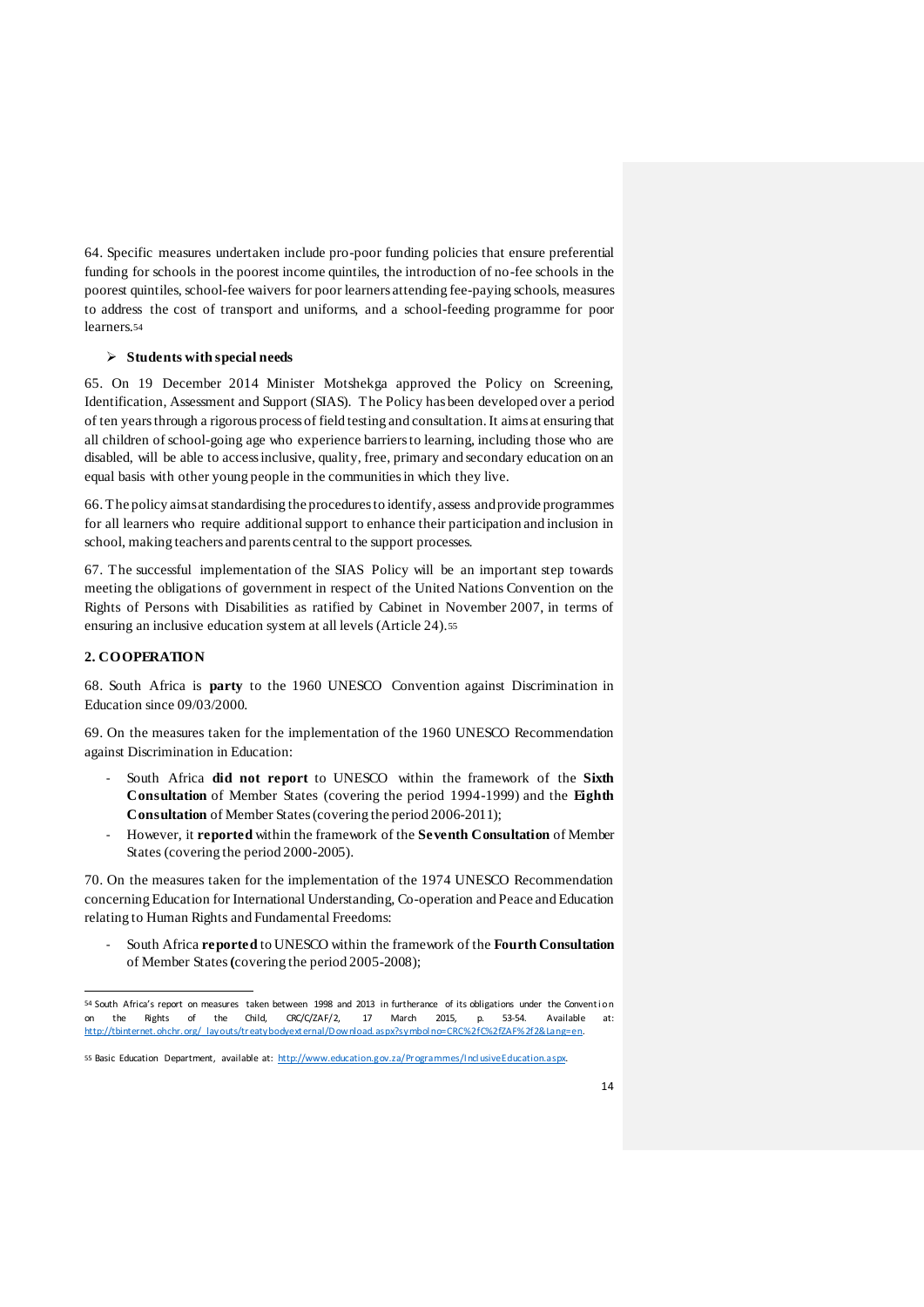64. Specific measures undertaken include pro-poor funding policies that ensure preferential funding for schools in the poorest income quintiles, the introduction of no-fee schools in the poorest quintiles, school-fee waivers for poor learners attending fee-paying schools, measures to address the cost of transport and uniforms, and a school-feeding programme for poor learners.<sup>54</sup>

## **Students with special needs**

65. On 19 December 2014 Minister Motshekga approved the Policy on Screening, Identification, Assessment and Support (SIAS). The Policy has been developed over a period of ten years through a rigorous process of field testing and consultation. It aims at ensuring that all children of school-going age who experience barriers to learning, including those who are disabled, will be able to access inclusive, quality, free, primary and secondary education on an equal basis with other young people in the communities in which they live.

66. The policy aims at standardising the procedures to identify, assess and provide programmes for all learners who require additional support to enhance their participation and inclusion in school, making teachers and parents central to the support processes.

67. The successful implementation of the SIAS Policy will be an important step towards meeting the obligations of government in respect of the United Nations Convention on the Rights of Persons with Disabilities as ratified by Cabinet in November 2007, in terms of ensuring an inclusive education system at all levels (Article 24).<sup>55</sup>

## **2. COOPERATION**

l

68. South Africa is **party** to the 1960 UNESCO Convention against Discrimination in Education since 09/03/2000.

69. On the measures taken for the implementation of the 1960 UNESCO Recommendation against Discrimination in Education:

- South Africa **did not report** to UNESCO within the framework of the **Sixth Consultation** of Member States (covering the period 1994-1999) and the **Eighth Consultation** of Member States (covering the period 2006-2011);
- However, it **reported** within the framework of the **Seventh Consultation** of Member States (covering the period 2000-2005).

70. On the measures taken for the implementation of the 1974 UNESCO Recommendation concerning Education for International Understanding, Co-operation and Peace and Education relating to Human Rights and Fundamental Freedoms:

- South Africa **reported** to UNESCO within the framework of the **Fourth Consultation** of Member States **(**covering the period 2005-2008);

<sup>54</sup> South Africa's report on measures taken between 1998 and 2013 in furtherance of its obligations under the Convention the Rights of the Child, CRC/C/ZAF/2, 17 March 2015, p. 53-54. Available http://tbinternet.ohchr.org/\_layouts/treatybodyext ernal/D ownload.aspx?symbol no=CRC%2fC%2fZAF%2f2&Lang=en.

<sup>55</sup> Basic Education Department, available at: http://www.education.gov.za/Programmes/Ind usive Education.aspx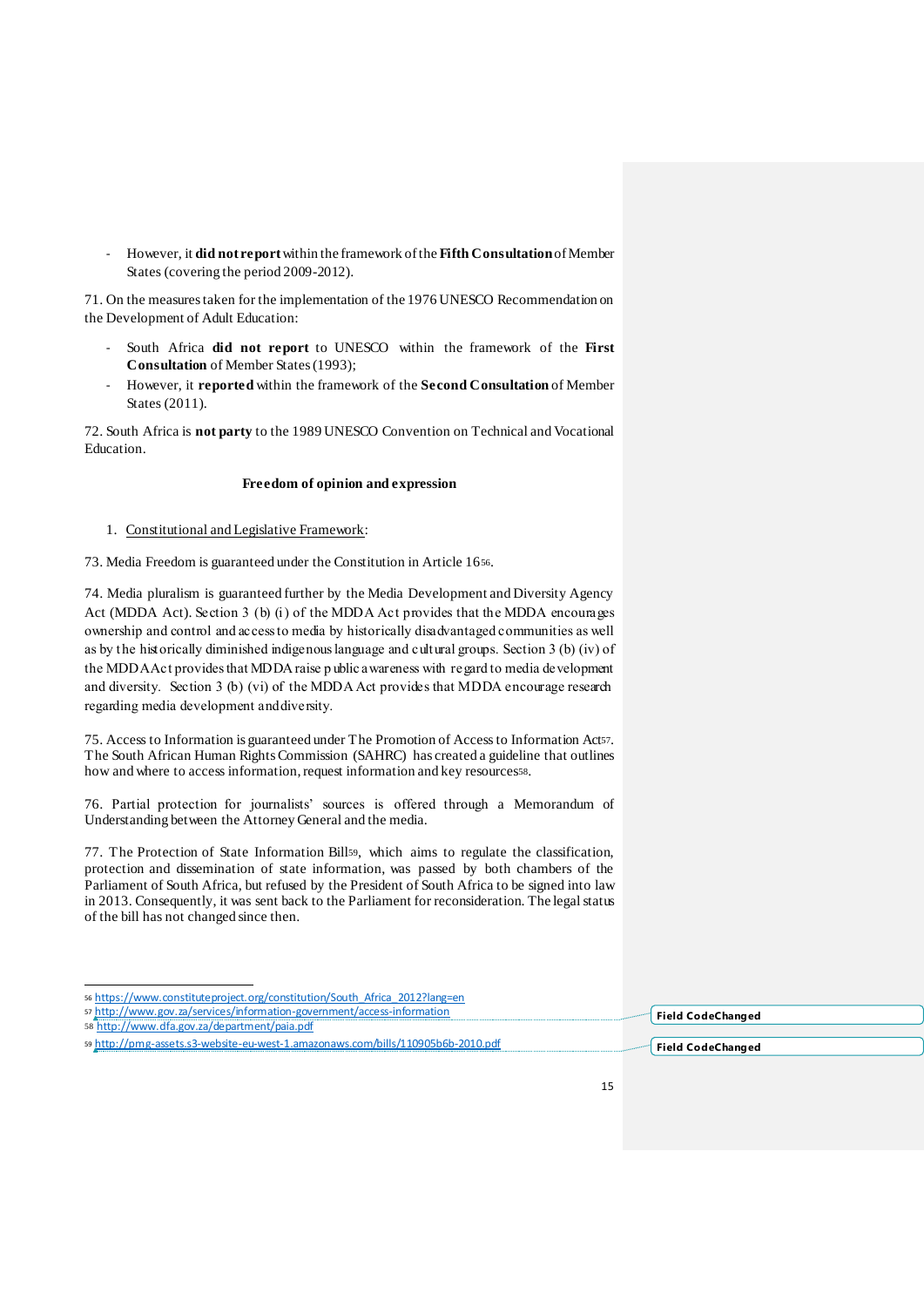- However, it **did not report**within the framework of the **Fifth Consultation**of Member States (covering the period 2009-2012).

71. On the measures taken for the implementation of the 1976 UNESCO Recommendation on the Development of Adult Education:

- South Africa **did not report** to UNESCO within the framework of the **First Consultation** of Member States (1993);
- However, it **reported** within the framework of the **Second Consultation** of Member States (2011).

72. South Africa is **not party** to the 1989 UNESCO Convention on Technical and Vocational Education.

## **Freedom of opinion and expression**

1. Constitutional and Legislative Framework:

73. Media Freedom is guaranteed under the Constitution in Article 1656.

74. Media pluralism is guaranteed further by the Media Development and Diversity Agency Act (MDDA Act). Section 3 (b) (i) of the MDDA Act provides that the MDDA encourages ownership and control and access to media by historically disadvantaged communities as well as by the historically diminished indigenous language and cultural groups. Section 3 (b) (iv) of the MDDA Act provides that MDDA raise p ublic awareness with regard to media development and diversity. Section 3 (b) (vi) of the MDDA Act provides that MDDA encourage research regarding media development and diversity.

75. Access to Information is guaranteed under The Promotion of Accessto Information Act57. The South African Human Rights Commission (SAHRC) has created a guideline that outlines how and where to access information, request information and key resourcesss.

76. Partial protection for journalists' sources is offered through a Memorandum of Understanding between the Attorney General and the media.

77. The Protection of State Information Bill59, which aims to regulate the classification, protection and dissemination of state information, was passed by both chambers of the Parliament of South Africa, but refused by the President of South Africa to be signed into law in 2013. Consequently, it was sent back to the Parliament for reconsideration. The legal status of the bill has not changed since then.

| 57 http://www.gov.za/services/information-government/access-information          | Field CodeChanged |
|----------------------------------------------------------------------------------|-------------------|
| 58 http://www.dfa.gov.za/department/paia.pdf                                     |                   |
| 59 http://pmg-assets.s3-website-eu-west-1.amazonaws.com/bills/110905b6b-2010.pdf | Field CodeChanged |

<sup>56</sup> https://www.constituteproject.org/constitution/South\_Africa\_2012?lang=en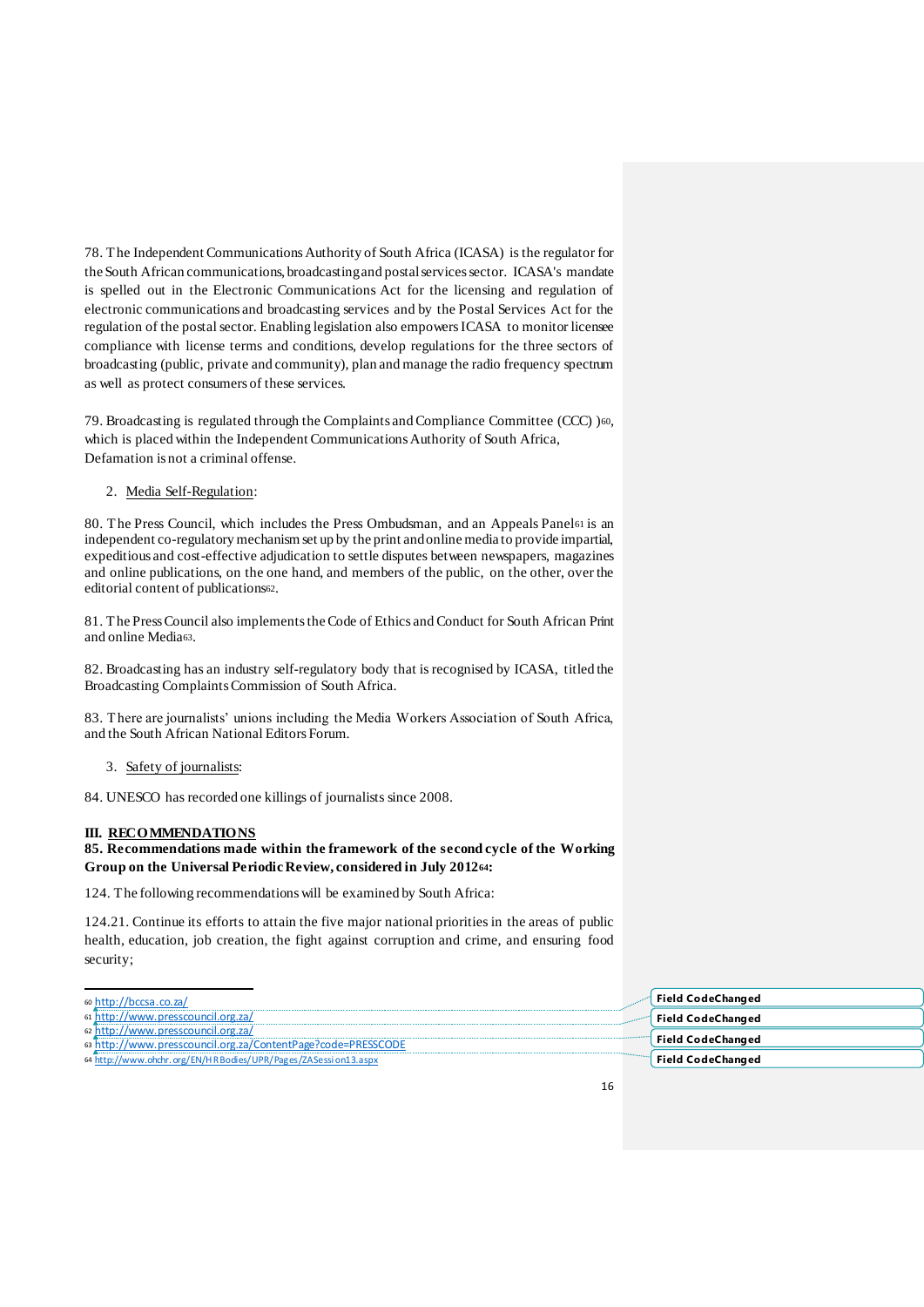78. The Independent Communications Authority of South Africa (ICASA) is the regulator for the South African communications, broadcasting and postal services sector. ICASA's mandate is spelled out in the Electronic Communications Act for the licensing and regulation of electronic communications and broadcasting services and by the Postal Services Act for the regulation of the postal sector. Enabling legislation also empowers ICASA to monitor licensee compliance with license terms and conditions, develop regulations for the three sectors of broadcasting (public, private and community), plan and manage the radio frequency spectrum as well as protect consumers of these services.

79. Broadcasting is regulated through the Complaints and Compliance Committee (CCC) )60, which is placed within the Independent Communications Authority of South Africa, Defamation is not a criminal offense.

2. Media Self-Regulation:

80. The Press Council, which includes the Press Ombudsman, and an Appeals Panel<sup>61</sup> is an independent co-regulatory mechanism set up by the print and online media to provide impartial, expeditious and cost-effective adjudication to settle disputes between newspapers, magazines and online publications, on the one hand, and members of the public, on the other, over the editorial content of publications62.

81. The Press Council also implements the Code of Ethics and Conduct for South African Print and online Media63.

82. Broadcasting has an industry self-regulatory body that is recognised by ICASA, titled the Broadcasting Complaints Commission of South Africa.

83. There are journalists' unions including the Media Workers Association of South Africa, and the South African National Editors Forum.

3. Safety of journalists:

84. UNESCO has recorded one killings of journalists since 2008.

## **III. RECOMMENDATIONS**

## **85. Recommendations made within the framework of the second cycle of the Working Group on the Universal Periodic Review, considered in July 201264:**

124. The following recommendations will be examined by South Africa:

124.21. Continue its efforts to attain the five major national priorities in the areas of public health, education, job creation, the fight against corruption and crime, and ensuring food security;

| 60 http://bccsa.co.za/                                                                      | Field CodeChanged        |
|---------------------------------------------------------------------------------------------|--------------------------|
| ://www.presscouncil.org.za/                                                                 | Field CodeChanged        |
| ://www.presscouncil.org.za/<br>sa http://www.presscouncil.org.za/ContentPage?code=PRESSCODE | <b>Field CodeChanged</b> |
| 64 http://www.ohchr.org/EN/HRBodies/UPR/Pages/ZASession13.aspx                              | , Field CodeChanged      |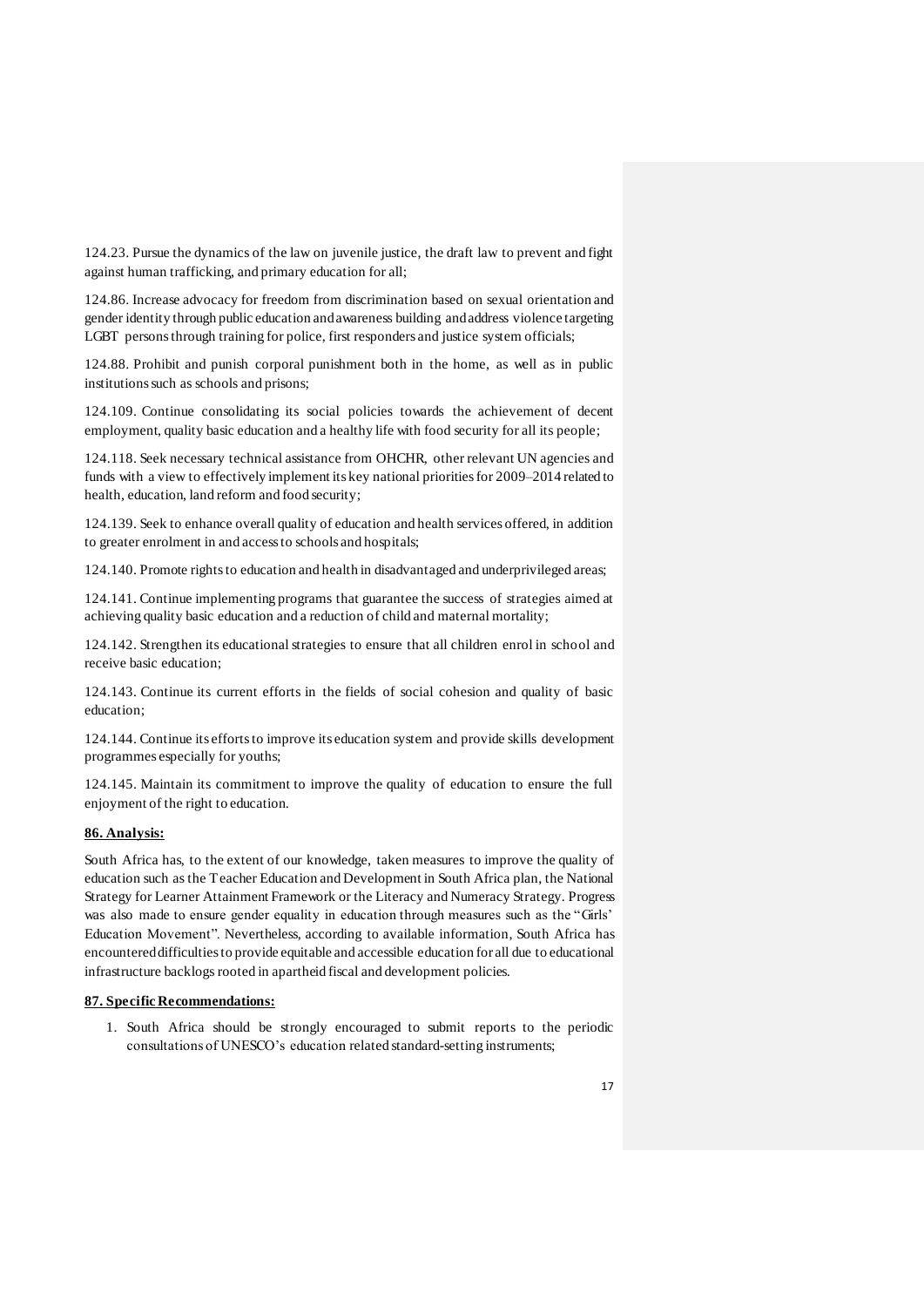124.23. Pursue the dynamics of the law on juvenile justice, the draft law to prevent and fight against human trafficking, and primary education for all;

124.86. Increase advocacy for freedom from discrimination based on sexual orientation and gender identity through public education and awareness building and address violence targeting LGBT persons through training for police, first responders and justice system officials;

124.88. Prohibit and punish corporal punishment both in the home, as well as in public institutions such as schools and prisons;

124.109. Continue consolidating its social policies towards the achievement of decent employment, quality basic education and a healthy life with food security for all its people;

124.118. Seek necessary technical assistance from OHCHR, other relevant UN agencies and funds with a view to effectively implement its key national priorities for 2009–2014 related to health, education, land reform and food security;

124.139. Seek to enhance overall quality of education and health services offered, in addition to greater enrolment in and access to schools and hospitals;

124.140. Promote rights to education and health in disadvantaged and underprivileged areas;

124.141. Continue implementing programs that guarantee the success of strategies aimed at achieving quality basic education and a reduction of child and maternal mortality;

124.142. Strengthen its educational strategies to ensure that all children enrol in school and receive basic education;

124.143. Continue its current efforts in the fields of social cohesion and quality of basic education;

124.144. Continue its efforts to improve its education system and provide skills development programmes especially for youths;

124.145. Maintain its commitment to improve the quality of education to ensure the full enjoyment of the right to education.

#### **86. Analysis:**

South Africa has, to the extent of our knowledge, taken measures to improve the quality of education such as the Teacher Education and Development in South Africa plan, the National Strategy for Learner Attainment Framework or the Literacy and Numeracy Strategy. Progress was also made to ensure gender equality in education through measures such as the "Girls' Education Movement". Nevertheless, according to available information, South Africa has encountereddifficulties to provide equitable and accessible education for all due to educational infrastructure backlogs rooted in apartheid fiscal and development policies.

#### **87. Specific Recommendations:**

1. South Africa should be strongly encouraged to submit reports to the periodic consultations of UNESCO's education related standard-setting instruments;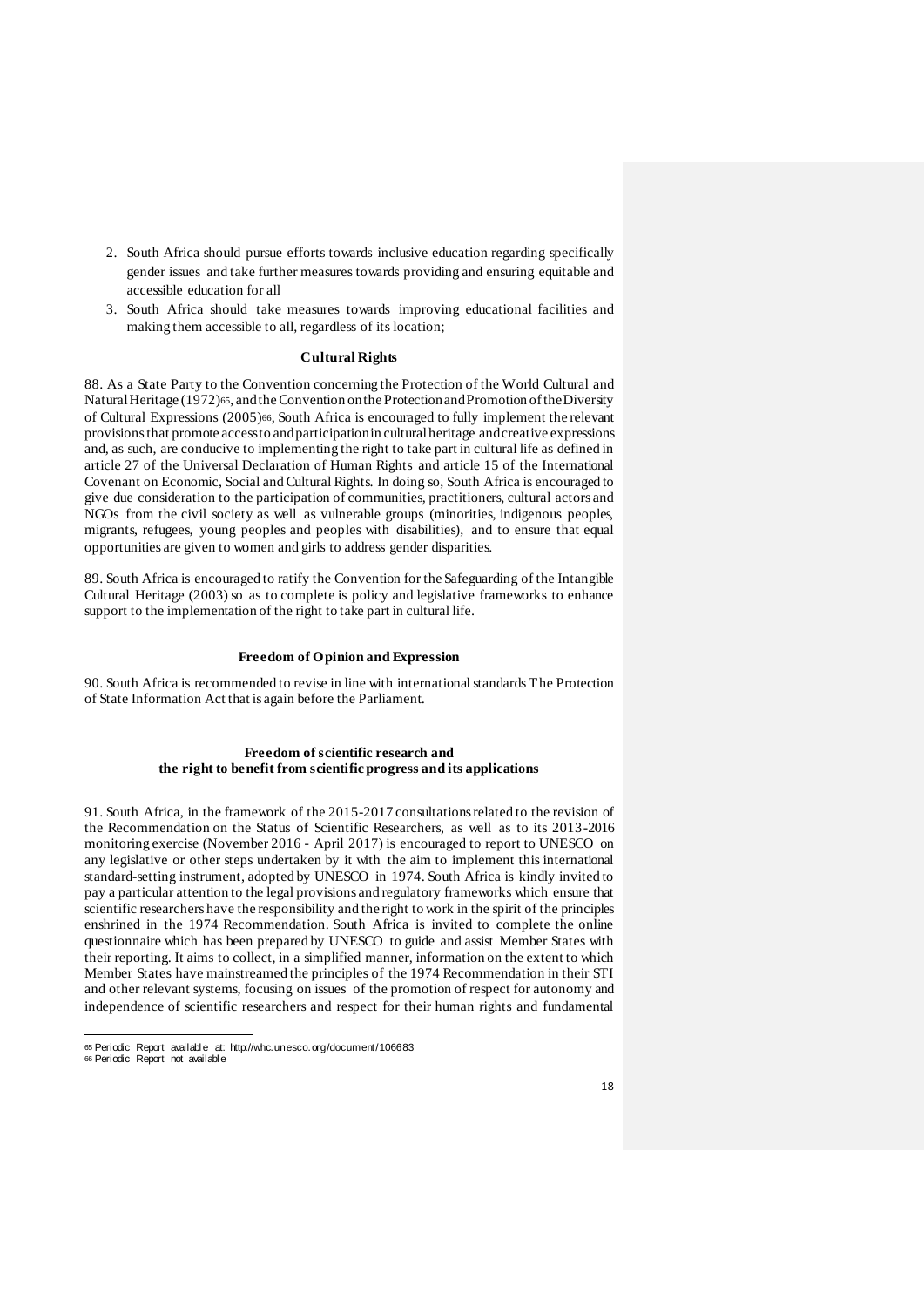- 2. South Africa should pursue efforts towards inclusive education regarding specifically gender issues and take further measures towards providing and ensuring equitable and accessible education for all
- 3. South Africa should take measures towards improving educational facilities and making them accessible to all, regardless of its location;

## **Cultural Rights**

88. As a State Party to the Convention concerning the Protection of the World Cultural and Natural Heritage (1972)65, and the Convention on the Protection and Promotion of the Diversity of Cultural Expressions (2005)66, South Africa is encouraged to fully implement the relevant provisions that promote access to and participation in cultural heritage and creative expressions and, as such, are conducive to implementing the right to take part in cultural life as defined in article 27 of the Universal Declaration of Human Rights and article 15 of the International Covenant on Economic, Social and Cultural Rights. In doing so, South Africa is encouraged to give due consideration to the participation of communities, practitioners, cultural actors and NGOs from the civil society as well as vulnerable groups (minorities, indigenous peoples, migrants, refugees, young peoples and peoples with disabilities), and to ensure that equal opportunities are given to women and girls to address gender disparities.

89. South Africa is encouraged to ratify the Convention for the Safeguarding of the Intangible Cultural Heritage (2003) so as to complete is policy and legislative frameworks to enhance support to the implementation of the right to take part in cultural life.

#### **Freedom of Opinion and Expression**

90. South Africa is recommended to revise in line with international standards The Protection of State Information Act that is again before the Parliament.

#### **Freedom of scientific research and the right to benefit from scientific progress and its applications**

91. South Africa, in the framework of the 2015-2017 consultations related to the revision of the Recommendation on the Status of Scientific Researchers, as well as to its 2013-2016 monitoring exercise (November 2016 - April 2017) is encouraged to report to UNESCO on any legislative or other steps undertaken by it with the aim to implement this international standard-setting instrument, adopted by UNESCO in 1974. South Africa is kindly invited to pay a particular attention to the legal provisions and regulatory frameworks which ensure that scientific researchers have the responsibility and the right to work in the spirit of the principles enshrined in the 1974 Recommendation. South Africa is invited to complete the online questionnaire which has been prepared by UNESCO to guide and assist Member States with their reporting. It aims to collect, in a simplified manner, information on the extent to which Member States have mainstreamed the principles of the 1974 Recommendation in their STI and other relevant systems, focusing on issues of the promotion of respect for autonomy and independence of scientific researchers and respect for their human rights and fundamental

<sup>65</sup> Periodic Report availabl e at: http://whc.unesco.org/document/106683

<sup>66</sup> Periodic Report not availabl e